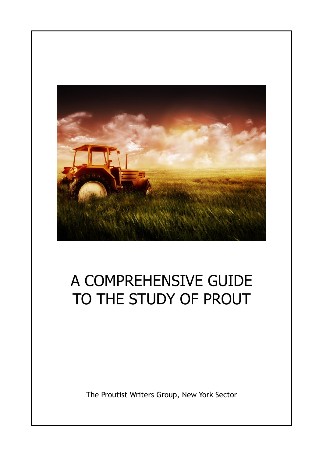

# A COMPREHENSIVE GUIDE TO THE STUDY OF PROUT

The Proutist Writers Group, New York Sector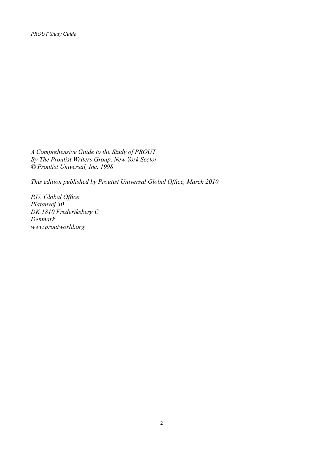*A Comprehensive Guide to the Study of PROUT By The Proutist Writers Group, New York Sector © Proutist Universal, Inc. 1998*

*This edition published by Proutist Universal Global Office, March 2010*

*P.U. Global Office Platanvej 30 DK 1810 Frederiksberg C Denmark www.proutworld.org*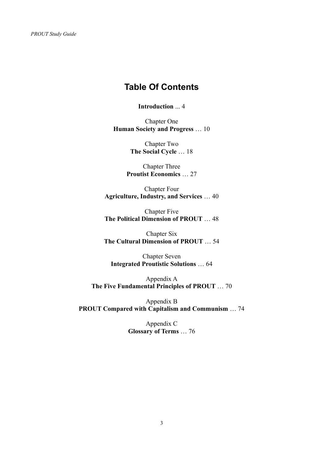### **Table Of Contents**

**Introduction** ... 4

Chapter One **Human Society and Progress** … 10

> Chapter Two **The Social Cycle** … 18

Chapter Three **Proutist Economics** … 27

Chapter Four **Agriculture, Industry, and Services** … 40

Chapter Five **The Political Dimension of PROUT** … 48

Chapter Six **The Cultural Dimension of PROUT** … 54

Chapter Seven **Integrated Proutistic Solutions** … 64

Appendix A **The Five Fundamental Principles of PROUT** … 70

Appendix B **PROUT Compared with Capitalism and Communism** … 74

> Appendix C **Glossary of Terms** … 76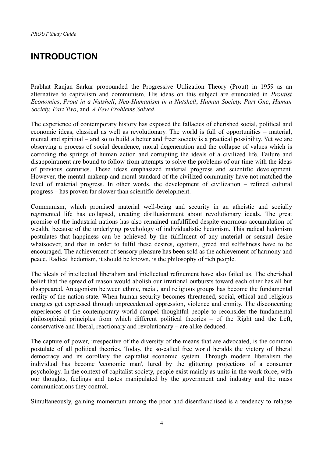# **INTRODUCTION**

Prabhat Ranjan Sarkar propounded the Progressive Utilization Theory (Prout) in 1959 as an alternative to capitalism and communism. His ideas on this subject are enunciated in *Proutist Economics*, *Prout in a Nutshell*, *Neo-Humanism in a Nutshell*, *Human Society, Part One*, *Human Society, Part Two*, and *A Few Problems Solved*.

The experience of contemporary history has exposed the fallacies of cherished social, political and economic ideas, classical as well as revolutionary. The world is full of opportunities – material, mental and spiritual – and so to build a better and freer society is a practical possibility. Yet we are observing a process of social decadence, moral degeneration and the collapse of values which is corroding the springs of human action and corrupting the ideals of a civilized life. Failure and disappointment are bound to follow from attempts to solve the problems of our time with the ideas of previous centuries. These ideas emphasized material progress and scientific development. However, the mental makeup and moral standard of the civilized community have not matched the level of material progress. In other words, the development of civilization – refined cultural progress – has proven far slower than scientific development.

Communism, which promised material well-being and security in an atheistic and socially regimented life has collapsed, creating disillusionment about revolutionary ideals. The great promise of the industrial nations has also remained unfulfilled despite enormous accumulation of wealth, because of the underlying psychology of individualistic hedonism. This radical hedonism postulates that happiness can be achieved by the fulfilment of any material or sensual desire whatsoever, and that in order to fulfil these desires, egotism, greed and selfishness have to be encouraged. The achievement of sensory pleasure has been sold as the achievement of harmony and peace. Radical hedonism, it should be known, is the philosophy of rich people.

The ideals of intellectual liberalism and intellectual refinement have also failed us. The cherished belief that the spread of reason would abolish our irrational outbursts toward each other has all but disappeared. Antagonism between ethnic, racial, and religious groups has become the fundamental reality of the nation-state. When human security becomes threatened, social, ethical and religious energies get expressed through unprecedented oppression, violence and enmity. The disconcerting experiences of the contemporary world compel thoughtful people to reconsider the fundamental philosophical principles from which different political theories – of the Right and the Left, conservative and liberal, reactionary and revolutionary – are alike deduced.

The capture of power, irrespective of the diversity of the means that are advocated, is the common postulate of all political theories. Today, the so-called free world heralds the victory of liberal democracy and its corollary the capitalist economic system. Through modern liberalism the individual has become 'economic man', lured by the glittering projections of a consumer psychology. In the context of capitalist society, people exist mainly as units in the work force, with our thoughts, feelings and tastes manipulated by the government and industry and the mass communications they control.

Simultaneously, gaining momentum among the poor and disenfranchised is a tendency to relapse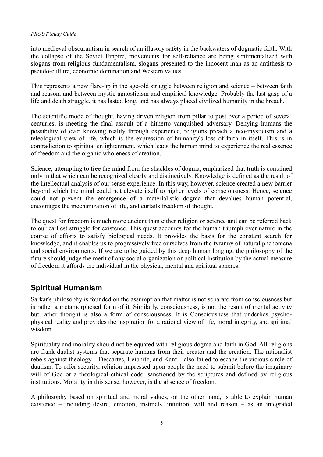into medieval obscurantism in search of an illusory safety in the backwaters of dogmatic faith. With the collapse of the Soviet Empire, movements for self-reliance are being sentimentalized with slogans from religious fundamentalism, slogans presented to the innocent man as an antithesis to pseudo-culture, economic domination and Western values.

This represents a new flare-up in the age-old struggle between religion and science – between faith and reason, and between mystic agnosticism and empirical knowledge. Probably the last gasp of a life and death struggle, it has lasted long, and has always placed civilized humanity in the breach.

The scientific mode of thought, having driven religion from pillar to post over a period of several centuries, is meeting the final assault of a hitherto vanquished adversary. Denying humans the possibility of ever knowing reality through experience, religions preach a neo-mysticism and a teleological view of life, which is the expression of humanity's loss of faith in itself. This is in contradiction to spiritual enlightenment, which leads the human mind to experience the real essence of freedom and the organic wholeness of creation.

Science, attempting to free the mind from the shackles of dogma, emphasized that truth is contained only in that which can be recognized clearly and distinctively. Knowledge is defined as the result of the intellectual analysis of our sense experience. In this way, however, science created a new barrier beyond which the mind could not elevate itself to higher levels of consciousness. Hence, science could not prevent the emergence of a materialistic dogma that devalues human potential, encourages the mechanization of life, and curtails freedom of thought.

The quest for freedom is much more ancient than either religion or science and can be referred back to our earliest struggle for existence. This quest accounts for the human triumph over nature in the course of efforts to satisfy biological needs. It provides the basis for the constant search for knowledge, and it enables us to progressively free ourselves from the tyranny of natural phenomena and social environments. If we are to be guided by this deep human longing, the philosophy of the future should judge the merit of any social organization or political institution by the actual measure of freedom it affords the individual in the physical, mental and spiritual spheres.

### **Spiritual Humanism**

Sarkar's philosophy is founded on the assumption that matter is not separate from consciousness but is rather a metamorphosed form of it. Similarly, consciousness, is not the result of mental activity but rather thought is also a form of consciousness. It is Consciousness that underlies psychophysical reality and provides the inspiration for a rational view of life, moral integrity, and spiritual wisdom.

Spirituality and morality should not be equated with religious dogma and faith in God. All religions are frank dualist systems that separate humans from their creator and the creation. The rationalist rebels against theology – Descartes, Leibnitz, and Kant – also failed to escape the vicious circle of dualism. To offer security, religion impressed upon people the need to submit before the imaginary will of God or a theological ethical code, sanctioned by the scriptures and defined by religious institutions. Morality in this sense, however, is the absence of freedom.

A philosophy based on spiritual and moral values, on the other hand, is able to explain human existence – including desire, emotion, instincts, intuition, will and reason – as an integrated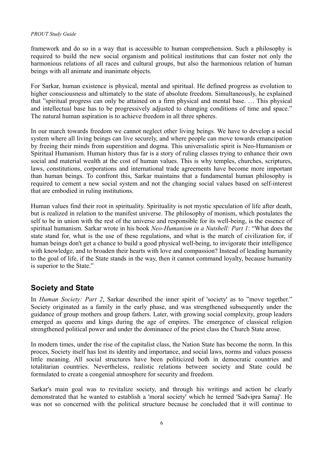framework and do so in a way that is accessible to human comprehension. Such a philosophy is required to build the new social organism and political institutions that can foster not only the harmonious relations of all races and cultural groups, but also the harmonious relation of human beings with all animate and inanimate objects.

For Sarkar, human existence is physical, mental and spiritual. He defined progress as evolution to higher consciousness and ultimately to the state of absolute freedom. Simultaneously, he explained that "spiritual progress can only be attained on a firm physical and mental base. … This physical and intellectual base has to be progressively adjusted to changing conditions of time and space." The natural human aspiration is to achieve freedom in all three spheres.

In our march towards freedom we cannot neglect other living beings. We have to develop a social system where all living beings can live securely, and where people can move towards emancipation by freeing their minds from superstition and dogma. This universalistic spirit is Neo-Humanism or Spiritual Humanism. Human history thus far is a story of ruling classes trying to enhance their own social and material wealth at the cost of human values. This is why temples, churches, scriptures, laws, constitutions, corporations and international trade agreements have become more important than human beings. To confront this, Sarkar maintains that a fundamental human philosophy is required to cement a new social system and not the changing social values based on self-interest that are embodied in ruling institutions.

Human values find their root in spirituality. Spirituality is not mystic speculation of life after death, but is realized in relation to the manifest universe. The philosophy of monism, which postulates the self to be in union with the rest of the universe and responsible for its well-being, is the essence of spiritual humanism. Sarkar wrote in his book *Neo-Humanism in a Nutshell: Part 1*: "What does the state stand for, what is the use of these regulations, and what is the march of civilization for, if human beings don't get a chance to build a good physical well-being, to invigorate their intelligence with knowledge, and to broaden their hearts with love and compassion? Instead of leading humanity to the goal of life, if the State stands in the way, then it cannot command loyalty, because humanity is superior to the State."

### **Society and State**

In *Human Society: Part 2*, Sarkar described the inner spirit of 'society' as to "move together." Society originated as a family in the early phase, and was strengthened subsequently under the guidance of group mothers and group fathers. Later, with growing social complexity, group leaders emerged as queens and kings during the age of empires. The emergence of classical religion strengthened political power and under the dominance of the priest class the Church State arose.

In modern times, under the rise of the capitalist class, the Nation State has become the norm. In this proces, Society itself has lost its identity and importance, and social laws, norms and values possess little meaning. All social structures have been politicized both in democratic countries and totalitarian countries. Nevertheless, realistic relations between society and State could be formulated to create a congenial atmosphere for security and freedom.

Sarkar's main goal was to revitalize society, and through his writings and action he clearly demonstrated that he wanted to establish a 'moral society' which he termed 'Sadvipra Samaj'. He was not so concerned with the political structure because he concluded that it will continue to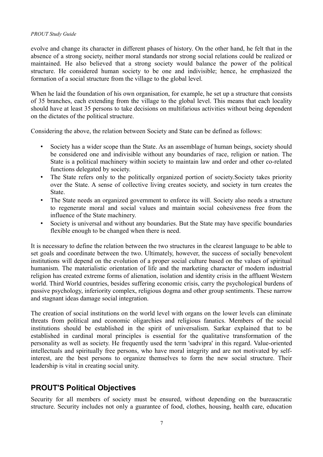evolve and change its character in different phases of history. On the other hand, he felt that in the absence of a strong society, neither moral standards nor strong social relations could be realized or maintained. He also believed that a strong society would balance the power of the political structure. He considered human society to be one and indivisible; hence, he emphasized the formation of a social structure from the village to the global level.

When he laid the foundation of his own organisation, for example, he set up a structure that consists of 35 branches, each extending from the village to the global level. This means that each locality should have at least 35 persons to take decisions on multifarious activities without being dependent on the dictates of the political structure.

Considering the above, the relation between Society and State can be defined as follows:

- Society has a wider scope than the State. As an assemblage of human beings, society should be considered one and indivisible without any boundaries of race, religion or nation. The State is a political machinery within society to maintain law and order and other co-related functions delegated by society.
- The State refers only to the politically organized portion of society. Society takes priority over the State. A sense of collective living creates society, and society in turn creates the State.
- The State needs an organized government to enforce its will. Society also needs a structure to regenerate moral and social values and maintain social cohesiveness free from the influence of the State machinery.
- Society is universal and without any boundaries. But the State may have specific boundaries flexible enough to be changed when there is need.

It is necessary to define the relation between the two structures in the clearest language to be able to set goals and coordinate between the two. Ultimately, however, the success of socially benevolent institutions will depend on the evolution of a proper social culture based on the values of spiritual humanism. The materialistic orientation of life and the marketing character of modern industrial religion has created extreme forms of alienation, isolation and identity crisis in the affluent Western world. Third World countries, besides suffering economic crisis, carry the psychological burdens of passive psychology, inferiority complex, religious dogma and other group sentiments. These narrow and stagnant ideas damage social integration.

The creation of social institutions on the world level with organs on the lower levels can eliminate threats from political and economic oligarchies and religious fanatics. Members of the social institutions should be established in the spirit of universalism. Sarkar explained that to be established in cardinal moral principles is essential for the qualitative transformation of the personality as well as society. He frequently used the term 'sadvipra' in this regard. Value-oriented intellectuals and spiritually free persons, who have moral integrity and are not motivated by selfinterest, are the best persons to organize themselves to form the new social structure. Their leadership is vital in creating social unity.

### **PROUT'S Political Objectives**

Security for all members of society must be ensured, without depending on the bureaucratic structure. Security includes not only a guarantee of food, clothes, housing, health care, education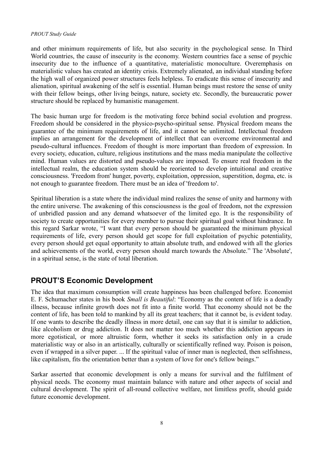and other minimum requirements of life, but also security in the psychological sense. In Third World countries, the cause of insecurity is the economy. Western countries face a sense of psychic insecurity due to the influence of a quantitative, materialistic monoculture. Overemphasis on materialistic values has created an identity crisis. Extremely alienated, an individual standing before the high wall of organized power structures feels helpless. To eradicate this sense of insecurity and alienation, spiritual awakening of the self is essential. Human beings must restore the sense of unity with their fellow beings, other living beings, nature, society etc. Secondly, the bureaucratic power structure should be replaced by humanistic management.

The basic human urge for freedom is the motivating force behind social evolution and progress. Freedom should be considered in the physico-psycho-spiritual sense. Physical freedom means the guarantee of the minimum requirements of life, and it cannot be unlimited. Intellectual freedom implies an arrangement for the development of intellect that can overcome environmental and pseudo-cultural influences. Freedom of thought is more important than freedom of expression. In every society, education, culture, religious institutions and the mass media manipulate the collective mind. Human values are distorted and pseudo-values are imposed. To ensure real freedom in the intellectual realm, the education system should be reoriented to develop intuitional and creative consciousness. 'Freedom from' hunger, poverty, exploitation, oppression, superstition, dogma, etc. is not enough to guarantee freedom. There must be an idea of 'freedom to'.

Spiritual liberation is a state where the individual mind realizes the sense of unity and harmony with the entire universe. The awakening of this consciousness is the goal of freedom, not the expression of unbridled passion and any demand whatsoever of the limited ego. It is the responsibility of society to create opportunities for every member to pursue their spiritual goal without hindrance. In this regard Sarkar wrote, "I want that every person should be guaranteed the minimum physical requirements of life, every person should get scope for full exploitation of psychic potentiality, every person should get equal opportunity to attain absolute truth, and endowed with all the glories and achievements of the world, every person should march towards the Absolute." The 'Absolute', in a spiritual sense, is the state of total liberation.

### **PROUT'S Economic Development**

The idea that maximum consumption will create happiness has been challenged before. Economist E. F. Schumacher states in his book *Small is Beautiful*: "Economy as the content of life is a deadly illness, because infinite growth does not fit into a finite world. That economy should not be the content of life, has been told to mankind by all its great teachers; that it cannot be, is evident today. If one wants to describe the deadly illness in more detail, one can say that it is similar to addiction, like alcoholism or drug addiction. It does not matter too much whether this addiction appears in more egotistical, or more altruistic form, whether it seeks its satisfaction only in a crude materialistic way or also in an artistically, culturally or scientifically refined way. Poison is poison, even if wrapped in a silver paper. ... If the spiritual value of inner man is neglected, then selfishness, like capitalism, fits the orientation better than a system of love for one's fellow beings."

Sarkar asserted that economic development is only a means for survival and the fulfilment of physical needs. The economy must maintain balance with nature and other aspects of social and cultural development. The spirit of all-round collective welfare, not limitless profit, should guide future economic development.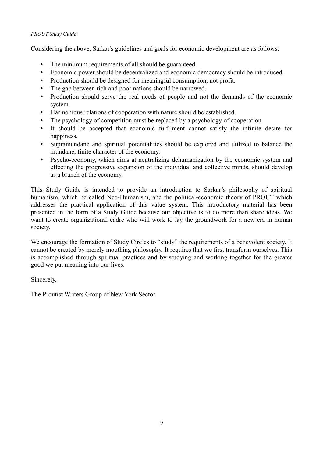Considering the above, Sarkar's guidelines and goals for economic development are as follows:

- The minimum requirements of all should be guaranteed.
- Economic power should be decentralized and economic democracy should be introduced.
- Production should be designed for meaningful consumption, not profit.
- The gap between rich and poor nations should be narrowed.
- Production should serve the real needs of people and not the demands of the economic system.
- Harmonious relations of cooperation with nature should be established.
- The psychology of competition must be replaced by a psychology of cooperation.
- It should be accepted that economic fulfilment cannot satisfy the infinite desire for happiness.
- Supramundane and spiritual potentialities should be explored and utilized to balance the mundane, finite character of the economy.
- Psycho-economy, which aims at neutralizing dehumanization by the economic system and effecting the progressive expansion of the individual and collective minds, should develop as a branch of the economy.

This Study Guide is intended to provide an introduction to Sarkar's philosophy of spiritual humanism, which he called Neo-Humanism, and the political-economic theory of PROUT which addresses the practical application of this value system. This introductory material has been presented in the form of a Study Guide because our objective is to do more than share ideas. We want to create organizational cadre who will work to lay the groundwork for a new era in human society.

We encourage the formation of Study Circles to "study" the requirements of a benevolent society. It cannot be created by merely mouthing philosophy. It requires that we first transform ourselves. This is accomplished through spiritual practices and by studying and working together for the greater good we put meaning into our lives.

Sincerely,

The Proutist Writers Group of New York Sector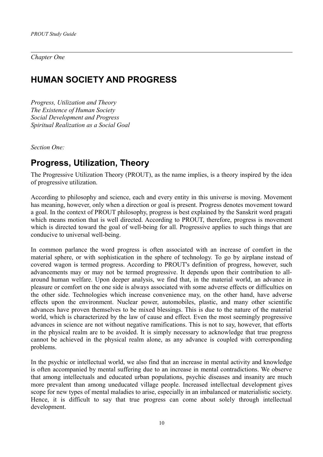*Chapter One*

# **HUMAN SOCIETY AND PROGRESS**

*Progress, Utilization and Theory The Existence of Human Society Social Development and Progress Spiritual Realization as a Social Goal*

*Section One:*

# **Progress, Utilization, Theory**

The Progressive Utilization Theory (PROUT), as the name implies, is a theory inspired by the idea of progressive utilization.

According to philosophy and science, each and every entity in this universe is moving. Movement has meaning, however, only when a direction or goal is present. Progress denotes movement toward a goal. In the context of PROUT philosophy, progress is best explained by the Sanskrit word pragati which means motion that is well directed. According to PROUT, therefore, progress is movement which is directed toward the goal of well-being for all. Progressive applies to such things that are conducive to universal well-being.

In common parlance the word progress is often associated with an increase of comfort in the material sphere, or with sophistication in the sphere of technology. To go by airplane instead of covered wagon is termed progress. According to PROUT's definition of progress, however, such advancements may or may not be termed progressive. It depends upon their contribution to allaround human welfare. Upon deeper analysis, we find that, in the material world, an advance in pleasure or comfort on the one side is always associated with some adverse effects or difficulties on the other side. Technologies which increase convenience may, on the other hand, have adverse effects upon the environment. Nuclear power, automobiles, plastic, and many other scientific advances have proven themselves to be mixed blessings. This is due to the nature of the material world, which is characterized by the law of cause and effect. Even the most seemingly progressive advances in science are not without negative ramifications. This is not to say, however, that efforts in the physical realm are to be avoided. It is simply necessary to acknowledge that true progress cannot be achieved in the physical realm alone, as any advance is coupled with corresponding problems.

In the psychic or intellectual world, we also find that an increase in mental activity and knowledge is often accompanied by mental suffering due to an increase in mental contradictions. We observe that among intellectuals and educated urban populations, psychic diseases and insanity are much more prevalent than among uneducated village people. Increased intellectual development gives scope for new types of mental maladies to arise, especially in an imbalanced or materialistic society. Hence, it is difficult to say that true progress can come about solely through intellectual development.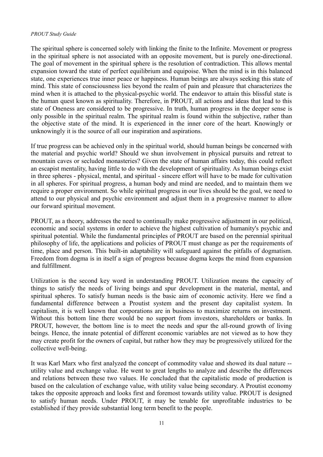The spiritual sphere is concerned solely with linking the finite to the Infinite. Movement or progress in the spiritual sphere is not associated with an opposite movement, but is purely one-directional. The goal of movement in the spiritual sphere is the resolution of contradiction. This allows mental expansion toward the state of perfect equilibrium and equipoise. When the mind is in this balanced state, one experiences true inner peace or happiness. Human beings are always seeking this state of mind. This state of consciousness lies beyond the realm of pain and pleasure that characterizes the mind when it is attached to the physical-psychic world. The endeavor to attain this blissful state is the human quest known as spirituality. Therefore, in PROUT, all actions and ideas that lead to this state of Oneness are considered to be progressive. In truth, human progress in the deeper sense is only possible in the spiritual realm. The spiritual realm is found within the subjective, rather than the objective state of the mind. It is experienced in the inner core of the heart. Knowingly or unknowingly it is the source of all our inspiration and aspirations.

If true progress can be achieved only in the spiritual world, should human beings be concerned with the material and psychic world? Should we shun involvement in physical pursuits and retreat to mountain caves or secluded monasteries? Given the state of human affairs today, this could reflect an escapist mentality, having little to do with the development of spirituality. As human beings exist in three spheres - physical, mental, and spiritual - sincere effort will have to be made for cultivation in all spheres. For spiritual progress, a human body and mind are needed, and to maintain them we require a proper environment. So while spiritual progress in our lives should be the goal, we need to attend to our physical and psychic environment and adjust them in a progressive manner to allow our forward spiritual movement.

PROUT, as a theory, addresses the need to continually make progressive adjustment in our political, economic and social systems in order to achieve the highest cultivation of humanity's psychic and spiritual potential. While the fundamental principles of PROUT are based on the perennial spiritual philosophy of life, the applications and policies of PROUT must change as per the requirements of time, place and person. This built-in adaptability will safeguard against the pitfalls of dogmatism. Freedom from dogma is in itself a sign of progress because dogma keeps the mind from expansion and fulfillment.

Utilization is the second key word in understanding PROUT. Utilization means the capacity of things to satisfy the needs of living beings and spur development in the material, mental, and spiritual spheres. To satisfy human needs is the basic aim of economic activity. Here we find a fundamental difference between a Proutist system and the present day capitalist system. In capitalism, it is well known that corporations are in business to maximize returns on investment. Without this bottom line there would be no support from investors, shareholders or banks. In PROUT, however, the bottom line is to meet the needs and spur the all-round growth of living beings. Hence, the innate potential of different economic variables are not viewed as to how they may create profit for the owners of capital, but rather how they may be progressively utilized for the collective well-being.

It was Karl Marx who first analyzed the concept of commodity value and showed its dual nature - utility value and exchange value. He went to great lengths to analyze and describe the differences and relations between these two values. He concluded that the capitalistic mode of production is based on the calculation of exchange value, with utility value being secondary. A Proutist economy takes the opposite approach and looks first and foremost towards utility value. PROUT is designed to satisfy human needs. Under PROUT, it may be tenable for unprofitable industries to be established if they provide substantial long term benefit to the people.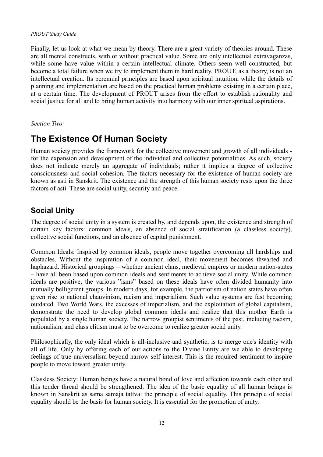Finally, let us look at what we mean by theory. There are a great variety of theories around. These are all mental constructs, with or without practical value. Some are only intellectual extravaganzas, while some have value within a certain intellectual climate. Others seem well constructed, but become a total failure when we try to implement them in hard reality. PROUT, as a theory, is not an intellectual creation. Its perennial principles are based upon spiritual intuition, while the details of planning and implementation are based on the practical human problems existing in a certain place, at a certain time. The development of PROUT arises from the effort to establish rationality and social justice for all and to bring human activity into harmony with our inner spiritual aspirations.

### *Section Two:*

# **The Existence Of Human Society**

Human society provides the framework for the collective movement and growth of all individuals for the expansion and development of the individual and collective potentialities. As such, society does not indicate merely an aggregate of individuals; rather it implies a degree of collective consciousness and social cohesion. The factors necessary for the existence of human society are known as asti in Sanskrit. The existence and the strength of this human society rests upon the three factors of asti. These are social unity, security and peace.

### **Social Unity**

The degree of social unity in a system is created by, and depends upon, the existence and strength of certain key factors: common ideals, an absence of social stratification (a classless society), collective social functions, and an absence of capital punishment.

Common Ideals: Inspired by common ideals, people move together overcoming all hardships and obstacles. Without the inspiration of a common ideal, their movement becomes thwarted and haphazard. Historical groupings – whether ancient clans, medieval empires or modern nation-states – have all been based upon common ideals and sentiments to achieve social unity. While common ideals are positive, the various "isms" based on these ideals have often divided humanity into mutually belligerent groups. In modern days, for example, the patriotism of nation states have often given rise to national chauvinism, racism and imperialism. Such value systems are fast becoming outdated. Two World Wars, the excesses of imperialism, and the exploitation of global capitalism, demonstrate the need to develop global common ideals and realize that this mother Earth is populated by a single human society. The narrow groupist sentiments of the past, including racism, nationalism, and class elitism must to be overcome to realize greater social unity.

Philosophically, the only ideal which is all-inclusive and synthetic, is to merge one's identity with all of life. Only by offering each of our actions to the Divine Entity are we able to developing feelings of true universalism beyond narrow self interest. This is the required sentiment to inspire people to move toward greater unity.

Classless Society: Human beings have a natural bond of love and affection towards each other and this tender thread should be strengthened. The idea of the basic equality of all human beings is known in Sanskrit as sama samaja tattva: the principle of social equality. This principle of social equality should be the basis for human society. It is essential for the promotion of unity.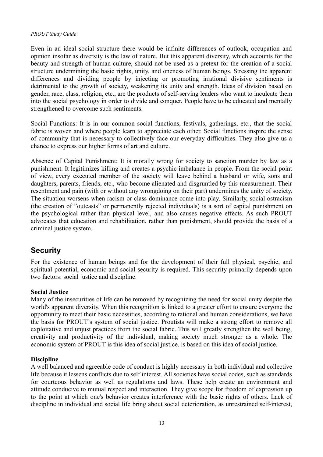Even in an ideal social structure there would be infinite differences of outlook, occupation and opinion insofar as diversity is the law of nature. But this apparent diversity, which accounts for the beauty and strength of human culture, should not be used as a pretext for the creation of a social structure undermining the basic rights, unity, and oneness of human beings. Stressing the apparent differences and dividing people by injecting or promoting irrational divisive sentiments is detrimental to the growth of society, weakening its unity and strength. Ideas of division based on gender, race, class, religion, etc., are the products of self-serving leaders who want to inculcate them into the social psychology in order to divide and conquer. People have to be educated and mentally strengthened to overcome such sentiments.

Social Functions: It is in our common social functions, festivals, gatherings, etc., that the social fabric is woven and where people learn to appreciate each other. Social functions inspire the sense of community that is necessary to collectively face our everyday difficulties. They also give us a chance to express our higher forms of art and culture.

Absence of Capital Punishment: It is morally wrong for society to sanction murder by law as a punishment. It legitimizes killing and creates a psychic imbalance in people. From the social point of view, every executed member of the society will leave behind a husband or wife, sons and daughters, parents, friends, etc., who become alienated and disgruntled by this measurement. Their resentment and pain (with or without any wrongdoing on their part) undermines the unity of society. The situation worsens when racism or class dominance come into play. Similarly, social ostracism (the creation of "outcasts" or permanently rejected individuals) is a sort of capital punishment on the psychological rather than physical level, and also causes negative effects. As such PROUT advocates that education and rehabilitation, rather than punishment, should provide the basis of a criminal justice system.

### **Security**

For the existence of human beings and for the development of their full physical, psychic, and spiritual potential, economic and social security is required. This security primarily depends upon two factors: social justice and discipline.

### **Social Justice**

Many of the insecurities of life can be removed by recognizing the need for social unity despite the world's apparent diversity. When this recognition is linked to a greater effort to ensure everyone the opportunity to meet their basic necessities, according to rational and human considerations, we have the basis for PROUT's system of social justice. Proutists will make a strong effort to remove all exploitative and unjust practices from the social fabric. This will greatly strengthen the well being, creativity and productivity of the individual, making society much stronger as a whole. The economic system of PROUT is this idea of social justice. is based on this idea of social justice.

#### **Discipline**

A well balanced and agreeable code of conduct is highly necessary in both individual and collective life because it lessens conflicts due to self interest. All societies have social codes, such as standards for courteous behavior as well as regulations and laws. These help create an environment and attitude conducive to mutual respect and interaction. They give scope for freedom of expression up to the point at which one's behavior creates interference with the basic rights of others. Lack of discipline in individual and social life bring about social deterioration, as unrestrained self-interest,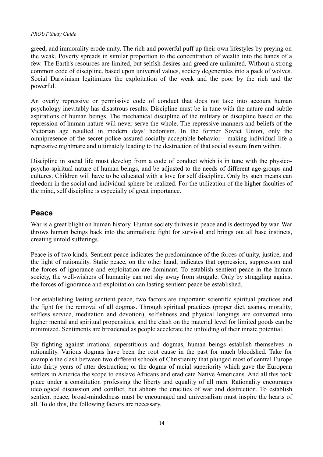greed, and immorality erode unity. The rich and powerful puff up their own lifestyles by preying on the weak. Poverty spreads in similar proportion to the concentration of wealth into the hands of a few. The Earth's resources are limited, but selfish desires and greed are unlimited. Without a strong common code of discipline, based upon universal values, society degenerates into a pack of wolves. Social Darwinism legitimizes the exploitation of the weak and the poor by the rich and the powerful.

An overly repressive or permissive code of conduct that does not take into account human psychology inevitably has disastrous results. Discipline must be in tune with the nature and subtle aspirations of human beings. The mechanical discipline of the military or discipline based on the repression of human nature will never serve the whole. The repressive manners and beliefs of the Victorian age resulted in modern days' hedonism. In the former Soviet Union, only the omnipresence of the secret police assured socially acceptable behavior - making individual life a repressive nightmare and ultimately leading to the destruction of that social system from within.

Discipline in social life must develop from a code of conduct which is in tune with the physicopsycho-spiritual nature of human beings, and be adjusted to the needs of different age-groups and cultures. Children will have to be educated with a love for self discipline. Only by such means can freedom in the social and individual sphere be realized. For the utilization of the higher faculties of the mind, self discipline is especially of great importance.

### **Peace**

War is a great blight on human history. Human society thrives in peace and is destroyed by war. War throws human beings back into the animalistic fight for survival and brings out all base instincts, creating untold sufferings.

Peace is of two kinds. Sentient peace indicates the predominance of the forces of unity, justice, and the light of rationality. Static peace, on the other hand, indicates that oppression, suppression and the forces of ignorance and exploitation are dominant. To establish sentient peace in the human society, the well-wishers of humanity can not shy away from struggle. Only by struggling against the forces of ignorance and exploitation can lasting sentient peace be established.

For establishing lasting sentient peace, two factors are important: scientific spiritual practices and the fight for the removal of all dogmas. Through spiritual practices (proper diet, asanas, morality, selfless service, meditation and devotion), selfishness and physical longings are converted into higher mental and spiritual propensities, and the clash on the material level for limited goods can be minimized. Sentiments are broadened as people accelerate the unfolding of their innate potential.

By fighting against irrational superstitions and dogmas, human beings establish themselves in rationality. Various dogmas have been the root cause in the past for much bloodshed. Take for example the clash between two different schools of Christianity that plunged most of central Europe into thirty years of utter destruction; or the dogma of racial superiority which gave the European settlers in America the scope to enslave Africans and eradicate Native Americans. And all this took place under a constitution professing the liberty and equality of all men. Rationality encourages ideological discussion and conflict, but abhors the cruelties of war and destruction. To establish sentient peace, broad-mindedness must be encouraged and universalism must inspire the hearts of all. To do this, the following factors are necessary.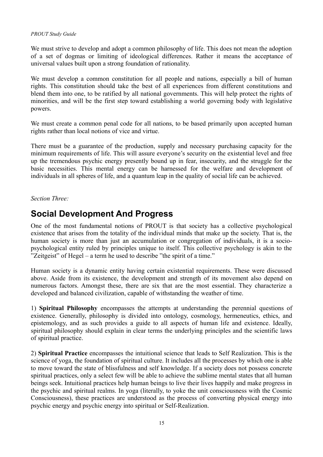We must strive to develop and adopt a common philosophy of life. This does not mean the adoption of a set of dogmas or limiting of ideological differences. Rather it means the acceptance of universal values built upon a strong foundation of rationality.

We must develop a common constitution for all people and nations, especially a bill of human rights. This constitution should take the best of all experiences from different constitutions and blend them into one, to be ratified by all national governments. This will help protect the rights of minorities, and will be the first step toward establishing a world governing body with legislative powers.

We must create a common penal code for all nations, to be based primarily upon accepted human rights rather than local notions of vice and virtue.

There must be a guarantee of the production, supply and necessary purchasing capacity for the minimum requirements of life. This will assure everyone's security on the existential level and free up the tremendous psychic energy presently bound up in fear, insecurity, and the struggle for the basic necessities. This mental energy can be harnessed for the welfare and development of individuals in all spheres of life, and a quantum leap in the quality of social life can be achieved.

### *Section Three:*

# **Social Development And Progress**

One of the most fundamental notions of PROUT is that society has a collective psychological existence that arises from the totality of the individual minds that make up the society. That is, the human society is more than just an accumulation or congregation of individuals, it is a sociopsychological entity ruled by principles unique to itself. This collective psychology is akin to the "Zeitgeist" of Hegel – a term he used to describe "the spirit of a time."

Human society is a dynamic entity having certain existential requirements. These were discussed above. Aside from its existence, the development and strength of its movement also depend on numerous factors. Amongst these, there are six that are the most essential. They characterize a developed and balanced civilization, capable of withstanding the weather of time.

1) **Spiritual Philosophy** encompasses the attempts at understanding the perennial questions of existence. Generally, philosophy is divided into ontology, cosmology, hermeneutics, ethics, and epistemology, and as such provides a guide to all aspects of human life and existence. Ideally, spiritual philosophy should explain in clear terms the underlying principles and the scientific laws of spiritual practice.

2) **Spiritual Practice** encompasses the intuitional science that leads to Self Realization. This is the science of yoga, the foundation of spiritual culture. It includes all the processes by which one is able to move toward the state of blissfulness and self knowledge. If a society does not possess concrete spiritual practices, only a select few will be able to achieve the sublime mental states that all human beings seek. Intuitional practices help human beings to live their lives happily and make progress in the psychic and spiritual realms. In yoga (literally, to yoke the unit consciousness with the Cosmic Consciousness), these practices are understood as the process of converting physical energy into psychic energy and psychic energy into spiritual or Self-Realization.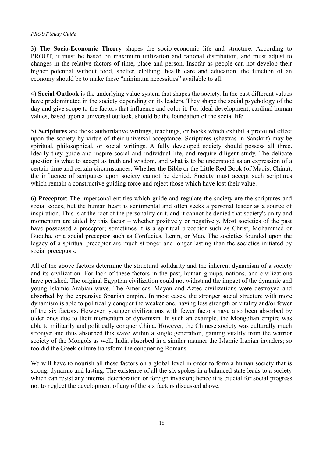3) The **Socio-Economic Theory** shapes the socio-economic life and structure. According to PROUT, it must be based on maximum utilization and rational distribution, and must adjust to changes in the relative factors of time, place and person. Insofar as people can not develop their higher potential without food, shelter, clothing, health care and education, the function of an economy should be to make these "minimum necessities" available to all.

4) **Social Outlook** is the underlying value system that shapes the society. In the past different values have predominated in the society depending on its leaders. They shape the social psychology of the day and give scope to the factors that influence and color it. For ideal development, cardinal human values, based upon a universal outlook, should be the foundation of the social life.

5) **Scriptures** are those authoritative writings, teachings, or books which exhibit a profound effect upon the society by virtue of their universal acceptance. Scriptures (shastras in Sanskrit) may be spiritual, philosophical, or social writings. A fully developed society should possess all three. Ideally they guide and inspire social and individual life, and require diligent study. The delicate question is what to accept as truth and wisdom, and what is to be understood as an expression of a certain time and certain circumstances. Whether the Bible or the Little Red Book (of Maoist China), the influence of scriptures upon society cannot be denied. Society must accept such scriptures which remain a constructive guiding force and reject those which have lost their value.

6) **Preceptor**: The impersonal entities which guide and regulate the society are the scriptures and social codes, but the human heart is sentimental and often seeks a personal leader as a source of inspiration. This is at the root of the personality cult, and it cannot be denied that society's unity and momentum are aided by this factor – whether positively or negatively. Most societies of the past have possessed a preceptor; sometimes it is a spiritual preceptor such as Christ, Mohammed or Buddha, or a social preceptor such as Confucius, Lenin, or Mao. The societies founded upon the legacy of a spiritual preceptor are much stronger and longer lasting than the societies initiated by social preceptors.

All of the above factors determine the structural solidarity and the inherent dynamism of a society and its civilization. For lack of these factors in the past, human groups, nations, and civilizations have perished. The original Egyptian civilization could not withstand the impact of the dynamic and young Islamic Arabian wave. The Americas' Mayan and Aztec civilizations were destroyed and absorbed by the expansive Spanish empire. In most cases, the stronger social structure with more dynamism is able to politically conquer the weaker one, having less strength or vitality and/or fewer of the six factors. However, younger civilizations with fewer factors have also been absorbed by older ones due to their momentum or dynamism. In such an example, the Mongolian empire was able to militarily and politically conquer China. However, the Chinese society was culturally much stronger and thus absorbed this wave within a single generation, gaining vitality from the warrior society of the Mongols as well. India absorbed in a similar manner the Islamic Iranian invaders; so too did the Greek culture transform the conquering Romans.

We will have to nourish all these factors on a global level in order to form a human society that is strong, dynamic and lasting. The existence of all the six spokes in a balanced state leads to a society which can resist any internal deterioration or foreign invasion; hence it is crucial for social progress not to neglect the development of any of the six factors discussed above.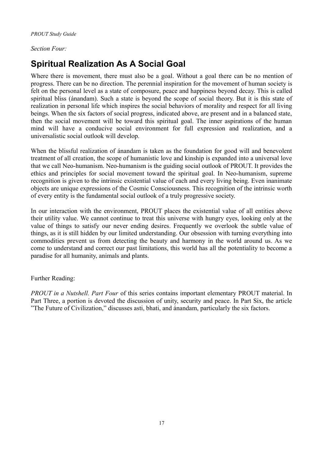*Section Four:*

# **Spiritual Realization As A Social Goal**

Where there is movement, there must also be a goal. Without a goal there can be no mention of progress. There can be no direction. The perennial inspiration for the movement of human society is felt on the personal level as a state of composure, peace and happiness beyond decay. This is called spiritual bliss (ánandam). Such a state is beyond the scope of social theory. But it is this state of realization in personal life which inspires the social behaviors of morality and respect for all living beings. When the six factors of social progress, indicated above, are present and in a balanced state, then the social movement will be toward this spiritual goal. The inner aspirations of the human mind will have a conducive social environment for full expression and realization, and a universalistic social outlook will develop.

When the blissful realization of ánandam is taken as the foundation for good will and benevolent treatment of all creation, the scope of humanistic love and kinship is expanded into a universal love that we call Neo-humanism. Neo-humanism is the guiding social outlook of PROUT. It provides the ethics and principles for social movement toward the spiritual goal. In Neo-humanism, supreme recognition is given to the intrinsic existential value of each and every living being. Even inanimate objects are unique expressions of the Cosmic Consciousness. This recognition of the intrinsic worth of every entity is the fundamental social outlook of a truly progressive society.

In our interaction with the environment, PROUT places the existential value of all entities above their utility value. We cannot continue to treat this universe with hungry eyes, looking only at the value of things to satisfy our never ending desires. Frequently we overlook the subtle value of things, as it is still hidden by our limited understanding. Our obsession with turning everything into commodities prevent us from detecting the beauty and harmony in the world around us. As we come to understand and correct our past limitations, this world has all the potentiality to become a paradise for all humanity, animals and plants.

### Further Reading:

*PROUT in a Nutshell. Part Four* of this series contains important elementary PROUT material. In Part Three, a portion is devoted the discussion of unity, security and peace. In Part Six, the article "The Future of Civilization," discusses asti, bhati, and ánandam, particularly the six factors.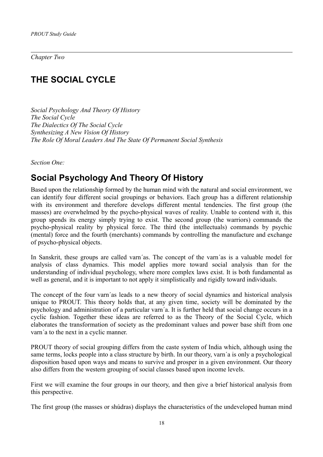*Chapter Two*

# **THE SOCIAL CYCLE**

*Social Psychology And Theory Of History The Social Cycle The Dialectics Of The Social Cycle Synthesizing A New Vision Of History The Role Of Moral Leaders And The State Of Permanent Social Synthesis*

*Section One:*

# **Social Psychology And Theory Of History**

Based upon the relationship formed by the human mind with the natural and social environment, we can identify four different social groupings or behaviors. Each group has a different relationship with its environment and therefore develops different mental tendencies. The first group (the masses) are overwhelmed by the psycho-physical waves of reality. Unable to contend with it, this group spends its energy simply trying to exist. The second group (the warriors) commands the psycho-physical reality by physical force. The third (the intellectuals) commands by psychic (mental) force and the fourth (merchants) commands by controlling the manufacture and exchange of psycho-physical objects.

In Sanskrit, these groups are called varn´as. The concept of the varn´as is a valuable model for analysis of class dynamics. This model applies more toward social analysis than for the understanding of individual psychology, where more complex laws exist. It is both fundamental as well as general, and it is important to not apply it simplistically and rigidly toward individuals.

The concept of the four varn´as leads to a new theory of social dynamics and historical analysis unique to PROUT. This theory holds that, at any given time, society will be dominated by the psychology and administration of a particular varn´a. It is further held that social change occurs in a cyclic fashion. Together these ideas are referred to as the Theory of the Social Cycle, which elaborates the transformation of society as the predominant values and power base shift from one varn´a to the next in a cyclic manner.

PROUT theory of social grouping differs from the caste system of India which, although using the same terms, locks people into a class structure by birth. In our theory, varn´a is only a psychological disposition based upon ways and means to survive and prosper in a given environment. Our theory also differs from the western grouping of social classes based upon income levels.

First we will examine the four groups in our theory, and then give a brief historical analysis from this perspective.

The first group (the masses or shúdras) displays the characteristics of the undeveloped human mind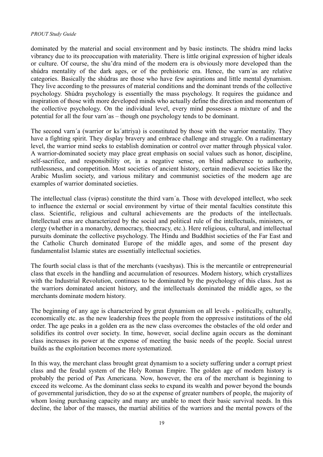dominated by the material and social environment and by basic instincts. The shúdra mind lacks vibrancy due to its preoccupation with materiality. There is little original expression of higher ideals or culture. Of course, the shu'dra mind of the modern era is obviously more developed than the shúdra mentality of the dark ages, or of the prehistoric era. Hence, the varn´as are relative categories. Basically the shúdras are those who have few aspirations and little mental dynamism. They live according to the pressures of material conditions and the dominant trends of the collective psychology. Shúdra psychology is essentially the mass psychology. It requires the guidance and inspiration of those with more developed minds who actually define the direction and momentum of the collective psychology. On the individual level, every mind possesses a mixture of and the potential for all the four varn´as – though one psychology tends to be dominant.

The second varn´a (warrior or ks´attriya) is constituted by those with the warrior mentality. They have a fighting spirit. They display bravery and embrace challenge and struggle. On a rudimentary level, the warrior mind seeks to establish domination or control over matter through physical valor. A warrior-dominated society may place great emphasis on social values such as honor, discipline, self-sacrifice, and responsibility or, in a negative sense, on blind adherence to authority, ruthlessness, and competition. Most societies of ancient history, certain medieval societies like the Arabic Muslim society, and various military and communist societies of the modern age are examples of warrior dominated societies.

The intellectual class (vipras) constitute the third varn´a. Those with developed intellect, who seek to influence the external or social environment by virtue of their mental faculties constitute this class. Scientific, religious and cultural achievements are the products of the intellectuals. Intellectual eras are characterized by the social and political rule of the intellectuals, ministers, or clergy (whether in a monarchy, democracy, theocracy, etc.). Here religious, cultural, and intellectual pursuits dominate the collective psychology. The Hindu and Buddhist societies of the Far East and the Catholic Church dominated Europe of the middle ages, and some of the present day fundamentalist Islamic states are essentially intellectual societies.

The fourth social class is that of the merchants (vaeshyas). This is the mercantile or entrepreneurial class that excels in the handling and accumulation of resources. Modern history, which crystallizes with the Industrial Revolution, continues to be dominated by the psychology of this class. Just as the warriors dominated ancient history, and the intellectuals dominated the middle ages, so the merchants dominate modern history.

The beginning of any age is characterized by great dynamism on all levels - politically, culturally, economically etc. as the new leadership frees the people from the oppressive institutions of the old order. The age peaks in a golden era as the new class overcomes the obstacles of the old order and solidifies its control over society. In time, however, social decline again occurs as the dominant class increases its power at the expense of meeting the basic needs of the people. Social unrest builds as the exploitation becomes more systematized.

In this way, the merchant class brought great dynamism to a society suffering under a corrupt priest class and the feudal system of the Holy Roman Empire. The golden age of modern history is probably the period of Pax Americana. Now, however, the era of the merchant is beginning to exceed its welcome. As the dominant class seeks to expand its wealth and power beyond the bounds of governmental jurisdiction, they do so at the expense of greater numbers of people, the majority of whom losing purchasing capacity and many are unable to meet their basic survival needs. In this decline, the labor of the masses, the martial abilities of the warriors and the mental powers of the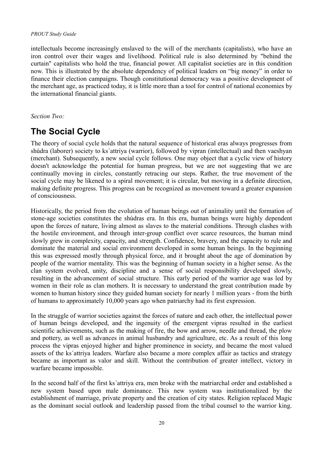intellectuals become increasingly enslaved to the will of the merchants (capitalists), who have an iron control over their wages and livelihood. Political rule is also determined by "behind the curtain" capitalists who hold the true, financial power. All capitalist societies are in this condition now. This is illustrated by the absolute dependency of political leaders on "big money" in order to finance their election campaigns. Though constitutional democracy was a positive development of the merchant age, as practiced today, it is little more than a tool for control of national economies by the international financial giants.

### *Section Two:*

# **The Social Cycle**

The theory of social cycle holds that the natural sequence of historical eras always progresses from shúdra (laborer) society to ks´attriya (warrior), followed by vipran (intellectual) and then vaeshyan (merchant). Subsequently, a new social cycle follows. One may object that a cyclic view of history doesn't acknowledge the potential for human progress, but we are not suggesting that we are continually moving in circles, constantly retracing our steps. Rather, the true movement of the social cycle may be likened to a spiral movement; it is circular, but moving in a definite direction, making definite progress. This progress can be recognized as movement toward a greater expansion of consciousness.

Historically, the period from the evolution of human beings out of animality until the formation of stone-age societies constitutes the shúdras era. In this era, human beings were highly dependent upon the forces of nature, living almost as slaves to the material conditions. Through clashes with the hostile environment, and through inter-group conflict over scarce resources, the human mind slowly grew in complexity, capacity, and strength. Confidence, bravery, and the capacity to rule and dominate the material and social environment developed in some human beings. In the beginning this was expressed mostly through physical force, and it brought about the age of domination by people of the warrior mentality. This was the beginning of human society in a higher sense. As the clan system evolved, unity, discipline and a sense of social responsibility developed slowly, resulting in the advancement of social structure. This early period of the warrior age was led by women in their role as clan mothers. It is necessary to understand the great contribution made by women to human history since they guided human society for nearly 1 million years - from the birth of humans to approximately 10,000 years ago when patriarchy had its first expression.

In the struggle of warrior societies against the forces of nature and each other, the intellectual power of human beings developed, and the ingenuity of the emergent vipras resulted in the earliest scientific achievements, such as the making of fire, the bow and arrow, needle and thread, the plow and pottery, as well as advances in animal husbandry and agriculture, etc. As a result of this long process the vipras enjoyed higher and higher prominence in society, and became the most valued assets of the ks´attriya leaders. Warfare also became a more complex affair as tactics and strategy became as important as valor and skill. Without the contribution of greater intellect, victory in warfare became impossible.

In the second half of the first ks´attriya era, men broke with the matriarchal order and established a new system based upon male dominance. This new system was institutionalized by the establishment of marriage, private property and the creation of city states. Religion replaced Magic as the dominant social outlook and leadership passed from the tribal counsel to the warrior king.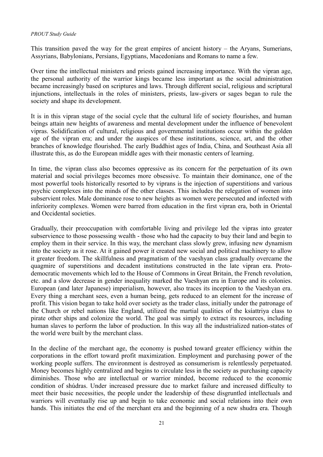This transition paved the way for the great empires of ancient history – the Aryans, Sumerians, Assyrians, Babylonians, Persians, Egyptians, Macedonians and Romans to name a few.

Over time the intellectual ministers and priests gained increasing importance. With the vipran age, the personal authority of the warrior kings became less important as the social administration became increasingly based on scriptures and laws. Through different social, religious and scriptural injunctions, intellectuals in the roles of ministers, priests, law-givers or sages began to rule the society and shape its development.

It is in this vipran stage of the social cycle that the cultural life of society flourishes, and human beings attain new heights of awareness and mental development under the influence of benevolent vipras. Solidification of cultural, religious and governmental institutions occur within the golden age of the vipran era; and under the auspices of these institutions, science, art, and the other branches of knowledge flourished. The early Buddhist ages of India, China, and Southeast Asia all illustrate this, as do the European middle ages with their monastic centers of learning.

In time, the vipran class also becomes oppressive as its concern for the perpetuation of its own material and social privileges becomes more obsessive. To maintain their dominance, one of the most powerful tools historically resorted to by viprans is the injection of superstitions and various psychic complexes into the minds of the other classes. This includes the relegation of women into subservient roles. Male dominance rose to new heights as women were persecuted and infected with inferiority complexes. Women were barred from education in the first vipran era, both in Oriental and Occidental societies.

Gradually, their preoccupation with comfortable living and privilege led the vipras into greater subservience to those possessing wealth - those who had the capacity to buy their land and begin to employ them in their service. In this way, the merchant class slowly grew, infusing new dynamism into the society as it rose. At it gained power it created new social and political machinery to allow it greater freedom. The skillfulness and pragmatism of the vaeshyan class gradually overcame the quagmire of superstitions and decadent institutions constructed in the late vipran era. Protodemocratic movements which led to the House of Commons in Great Britain, the French revolution, etc. and a slow decrease in gender inequality marked the Vaeshyan era in Europe and its colonies. European (and later Japanese) imperialism, however, also traces its inception to the Vaeshyan era. Every thing a merchant sees, even a human being, gets reduced to an element for the increase of profit. This vision began to take hold over society as the trader class, initially under the patronage of the Church or rebel nations like England, utilized the martial qualities of the ksíattriya class to pirate other ships and colonize the world. The goal was simply to extract its resources, including human slaves to perform the labor of production. In this way all the industrialized nation-states of the world were built by the merchant class.

In the decline of the merchant age, the economy is pushed toward greater efficiency within the corporations in the effort toward profit maximization. Employment and purchasing power of the working people suffers. The environment is destroyed as consumerism is relentlessly perpetuated. Money becomes highly centralized and begins to circulate less in the society as purchasing capacity diminishes. Those who are intellectual or warrior minded, become reduced to the economic condition of shúdras. Under increased pressure due to market failure and increased difficulty to meet their basic necessities, the people under the leadership of these disgruntled intellectuals and warriors will eventually rise up and begin to take economic and social relations into their own hands. This initiates the end of the merchant era and the beginning of a new shudra era. Though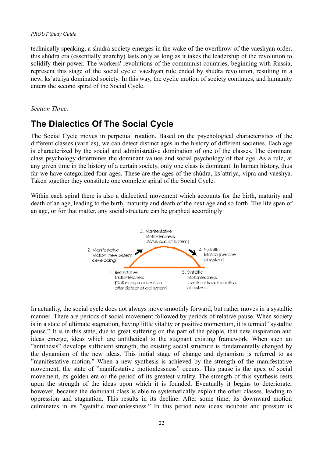technically speaking, a shudra society emerges in the wake of the overthrow of the vaeshyan order, this shúdra era (essentially anarchy) lasts only as long as it takes the leadership of the revolution to solidify their power. The workers' revolutions of the communist countries, beginning with Russia, represent this stage of the social cycle: vaeshyan rule ended by shúdra revolution, resulting in a new, ks´attriya dominated society. In this way, the cyclic motion of society continues, and humanity enters the second spiral of the Social Cycle.

### *Section Three:*

# **The Dialectics Of The Social Cycle**

The Social Cycle moves in perpetual rotation. Based on the psychological characteristics of the different classes (varn´as), we can detect distinct ages in the history of different societies. Each age is characterized by the social and administrative domination of one of the classes. The dominant class psychology determines the dominant values and social psychology of that age. As a rule, at any given time in the history of a certain society, only one class is dominant. In human history, thus far we have categorized four ages. These are the ages of the shúdra, ks´attriya, vipra and vaeshya. Taken together they constitute one complete spiral of the Social Cycle.

Within each spiral there is also a dialectical movement which accounts for the birth, maturity and death of an age, leading to the birth, maturity and death of the next age and so forth. The life span of an age, or for that matter, any social structure can be graphed accordingly:



In actuality, the social cycle does not always move smoothly forward, but rather moves in a systaltic manner. There are periods of social movement followed by periods of relative pause. When society is in a state of ultimate stagnation, having little vitality or positive momentum, it is termed "systaltic pause." It is in this state, due to great suffering on the part of the people, that new inspiration and ideas emerge, ideas which are antithetical to the stagnant existing framework. When such an "antithesis" develops sufficient strength, the existing social structure is fundamentally changed by the dynamism of the new ideas. This initial stage of change and dynamism is referred to as "manifestative motion." When a new synthesis is achieved by the strength of the manifestative movement, the state of "manifestative motionlessness" occurs. This pause is the apex of social movement, its golden era or the period of its greatest vitality. The strength of this synthesis rests upon the strength of the ideas upon which it is founded. Eventually it begins to deteriorate, however, because the dominant class is able to systematically exploit the other classes, leading to oppression and stagnation. This results in its decline. After some time, its downward motion culminates in its "systaltic motionlessness." In this period new ideas incubate and pressure is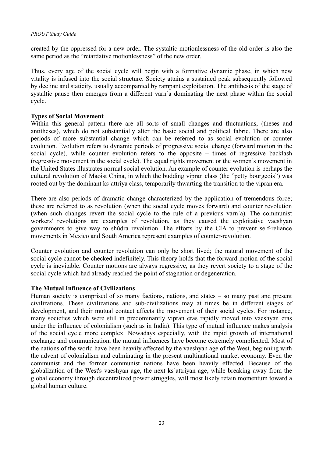created by the oppressed for a new order. The systaltic motionlessness of the old order is also the same period as the "retardative motionlessness" of the new order.

Thus, every age of the social cycle will begin with a formative dynamic phase, in which new vitality is infused into the social structure. Society attains a sustained peak subsequently followed by decline and staticity, usually accompanied by rampant exploitation. The antithesis of the stage of systaltic pause then emerges from a different varn'a dominating the next phase within the social cycle.

#### **Types of Social Movement**

Within this general pattern there are all sorts of small changes and fluctuations, (theses and antitheses), which do not substantially alter the basic social and political fabric. There are also periods of more substantial change which can be referred to as social evolution or counter evolution. Evolution refers to dynamic periods of progressive social change (forward motion in the social cycle), while counter evolution refers to the opposite – times of regressive backlash (regressive movement in the social cycle). The equal rights movement or the women's movement in the United States illustrates normal social evolution. An example of counter evolution is perhaps the cultural revolution of Maoist China, in which the budding vipran class (the "petty bourgeois") was rooted out by the dominant ks´attriya class, temporarily thwarting the transition to the vipran era.

There are also periods of dramatic change characterized by the application of tremendous force; these are referred to as revolution (when the social cycle moves forward) and counter revolution (when such changes revert the social cycle to the rule of a previous varn´a). The communist workers' revolutions are examples of revolution, as they caused the exploitative vaeshyan governments to give way to shúdra revolution. The efforts by the CIA to prevent self-reliance movements in Mexico and South America represent examples of counter-revolution.

Counter evolution and counter revolution can only be short lived; the natural movement of the social cycle cannot be checked indefinitely. This theory holds that the forward motion of the social cycle is inevitable. Counter motions are always regressive, as they revert society to a stage of the social cycle which had already reached the point of stagnation or degeneration.

#### **The Mutual Influence of Civilizations**

Human society is comprised of so many factions, nations, and states – so many past and present civilizations. These civilizations and sub-civilizations may at times be in different stages of development, and their mutual contact affects the movement of their social cycles. For instance, many societies which were still in predominantly vipran eras rapidly moved into vaeshyan eras under the influence of colonialism (such as in India). This type of mutual influence makes analysis of the social cycle more complex. Nowadays especially, with the rapid growth of international exchange and communication, the mutual influences have become extremely complicated. Most of the nations of the world have been heavily affected by the vaeshyan age of the West, beginning with the advent of colonialism and culminating in the present multinational market economy. Even the communist and the former communist nations have been heavily effected. Because of the globalization of the West's vaeshyan age, the next ks´attriyan age, while breaking away from the global economy through decentralized power struggles, will most likely retain momentum toward a global human culture.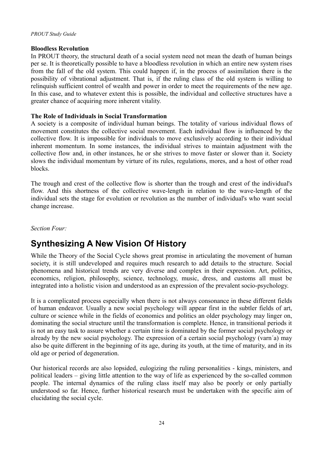### **Bloodless Revolution**

In PROUT theory, the structural death of a social system need not mean the death of human beings per se. It is theoretically possible to have a bloodless revolution in which an entire new system rises from the fall of the old system. This could happen if, in the process of assimilation there is the possibility of vibrational adjustment. That is, if the ruling class of the old system is willing to relinquish sufficient control of wealth and power in order to meet the requirements of the new age. In this case, and to whatever extent this is possible, the individual and collective structures have a greater chance of acquiring more inherent vitality.

### **The Role of Individuals in Social Transformation**

A society is a composite of individual human beings. The totality of various individual flows of movement constitutes the collective social movement. Each individual flow is influenced by the collective flow. It is impossible for individuals to move exclusively according to their individual inherent momentum. In some instances, the individual strives to maintain adjustment with the collective flow and, in other instances, he or she strives to move faster or slower than it. Society slows the individual momentum by virture of its rules, regulations, mores, and a host of other road blocks.

The trough and crest of the collective flow is shorter than the trough and crest of the individual's flow. And this shortness of the collective wave-length in relation to the wave-length of the individual sets the stage for evolution or revolution as the number of individual's who want social change increase.

### *Section Four:*

# **Synthesizing A New Vision Of History**

While the Theory of the Social Cycle shows great promise in articulating the movement of human society, it is still undeveloped and requires much research to add details to the structure. Social phenomena and historical trends are very diverse and complex in their expression. Art, politics, economics, religion, philosophy, science, technology, music, dress, and customs all must be integrated into a holistic vision and understood as an expression of the prevalent socio-psychology.

It is a complicated process especially when there is not always consonance in these different fields of human endeavor. Usually a new social psychology will appear first in the subtler fields of art, culture or science while in the fields of economics and politics an older psychology may linger on, dominating the social structure until the transformation is complete. Hence, in transitional periods it is not an easy task to assure whether a certain time is dominated by the former social psychology or already by the new social psychology. The expression of a certain social psychology (varn´a) may also be quite different in the beginning of its age, during its youth, at the time of maturity, and in its old age or period of degeneration.

Our historical records are also lopsided, eulogizing the ruling personalities - kings, ministers, and political leaders – giving little attention to the way of life as experienced by the so-called common people. The internal dynamics of the ruling class itself may also be poorly or only partially understood so far. Hence, further historical research must be undertaken with the specific aim of elucidating the social cycle.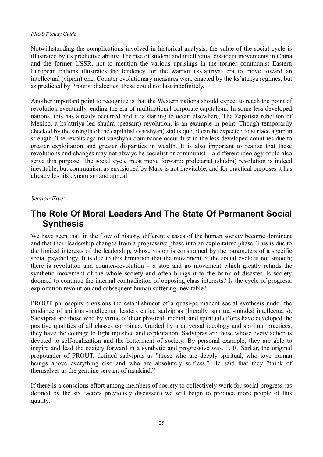Notwithstanding the complications involved in historical analysis, the value of the social cycle is illustrated by its predictive ability. The rise of student and intellectual dissident movements in China and the former USSR, not to mention the various uprisings in the former communist Eastern European nations illustrates the tendency for the warrior (ks´attriya) era to move toward an intellectual (vipran) one. Counter evolutionary measures were enacted by the ks´attriya regimes, but as predicted by Proutist dialectics, these could not last indefinitely.

Another important point to recognize is that the Western nations should expect to reach the point of revolution eventually, ending the era of multinational corporate capitalism. In some less developed nations, this has already occurred and it is starting to occur elsewhere. The Zapatista rebellion of Mexico, a ks´attriya led shúdra (peasant) revolution, is an example in point. Though temporarily checked by the strength of the capitalist (vaeshyan) status quo, it can be expected to surface again in strength. The revolts against vaeshyan dominance occur first in the less developed countries due to greater exploitation and greater disparities in wealth. It is also important to realize that these revolutions and changes may not always be socialist or communist – a different ideology could also serve this purpose. The social cycle must move forward: proletariat (shúdra) revolution is indeed inevitable, but communism as envisioned by Marx is not inevitable, and for practical purposes it has already lost its dynamism and appeal.

### *Section Five:*

### **The Role Of Moral Leaders And The State Of Permanent Social Synthesis**

We have seen that, in the flow of history, different classes of the human society become dominant and that their leadership changes from a progressive phase into an exploitative phase. This is due to the limited interests of the leadership, whose vision is constrained by the parameters of a specific social psychology. It is due to this limitation that the movement of the social cycle is not smooth; there is revolution and counter-revolution  $-$  a stop and go movement which greatly retards the synthetic movement of the whole society and often brings it to the brink of disaster. Is society doomed to continue the internal contradiction of opposing class interests? Is the cycle of progress, exploitation revolution and subsequent human suffering inevitable?

PROUT philosophy envisions the establishment of a quasi-permanent social synthesis under the guidance of spiritual-intellectual leaders called sadvipras (literally, spiritual-minded intellectuals). Sadvipras are those who by virtue of their physical, mental, and spiritual efforts have developed the positive qualities of all classes combined. Guided by a universal ideology and spiritual practices, they have the courage to fight injustice and exploitation. Sadvipras are those whose every action is devoted to self-realization and the betterment of society. By personal example, they are able to inspire and lead the society forward in a synthetic and progressive way. P. R. Sarkar, the original propounder of PROUT, defined sadvipras as "those who are deeply spiritual, who love human beings above everything else and who are absolutely selfless." He said that they "think of themselves as the genuine servant of mankind."

If there is a conscious effort among members of society to collectively work for social progress (as defined by the six factors previously discussed) we will begin to produce more people of this quality.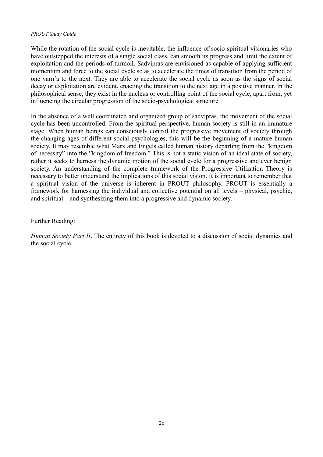While the rotation of the social cycle is inevitable, the influence of socio-spiritual visionaries who have outstepped the interests of a single social class, can smooth its progress and limit the extent of exploitation and the periods of turmoil. Sadvipras are envisioned as capable of applying sufficient momentum and force to the social cycle so as to accelerate the times of transition from the period of one varn´a to the next. They are able to accelerate the social cycle as soon as the signs of social decay or exploitation are evident, enacting the transition to the next age in a positive manner. In the philosophical sense, they exist in the nucleus or controlling point of the social cycle, apart from, yet influencing the circular progression of the socio-psychological structure.

In the absence of a well coordinated and organized group of sadvipras, the movement of the social cycle has been uncontrolled. From the spiritual perspective, human society is still in an immature stage. When human beings can consciously control the progressive movement of society through the changing ages of different social psychologies, this will be the beginning of a mature human society. It may resemble what Marx and Engels called human history departing from the "kingdom of necessity" into the "kingdom of freedom." This is not a static vision of an ideal state of society, rather it seeks to harness the dynamic motion of the social cycle for a progressive and ever benign society. An understanding of the complete framework of the Progressive Utilization Theory is necessary to better understand the implications of this social vision. It is important to remember that a spiritual vision of the universe is inherent in PROUT philosophy. PROUT is essentially a framework for harnessing the individual and collective potential on all levels – physical, psychic, and spiritual – and synthesizing them into a progressive and dynamic society.

### Further Reading:

*Human Society Part II.* The entirety of this book is devoted to a discussion of social dynamics and the social cycle.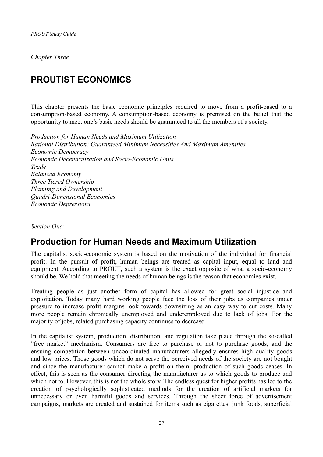*Chapter Three*

# **PROUTIST ECONOMICS**

This chapter presents the basic economic principles required to move from a profit-based to a consumption-based economy. A consumption-based economy is premised on the belief that the opportunity to meet one's basic needs should be guaranteed to all the members of a society.

*Production for Human Needs and Maximum Utilization Rational Distribution: Guaranteed Minimum Necessities And Maximum Amenities Economic Democracy Economic Decentralization and Socio-Economic Units Trade Balanced Economy Three Tiered Ownership Planning and Development Quadri-Dimensional Economics Economic Depressions*

*Section One:*

# **Production for Human Needs and Maximum Utilization**

The capitalist socio-economic system is based on the motivation of the individual for financial profit. In the pursuit of profit, human beings are treated as capital input, equal to land and equipment. According to PROUT, such a system is the exact opposite of what a socio-economy should be. We hold that meeting the needs of human beings is the reason that economies exist.

Treating people as just another form of capital has allowed for great social injustice and exploitation. Today many hard working people face the loss of their jobs as companies under pressure to increase profit margins look towards downsizing as an easy way to cut costs. Many more people remain chronically unemployed and underemployed due to lack of jobs. For the majority of jobs, related purchasing capacity continues to decrease.

In the capitalist system, production, distribution, and regulation take place through the so-called "free market" mechanism. Consumers are free to purchase or not to purchase goods, and the ensuing competition between uncoordinated manufacturers allegedly ensures high quality goods and low prices. Those goods which do not serve the perceived needs of the society are not bought and since the manufacturer cannot make a profit on them, production of such goods ceases. In effect, this is seen as the consumer directing the manufacturer as to which goods to produce and which not to. However, this is not the whole story. The endless quest for higher profits has led to the creation of psychologically sophisticated methods for the creation of artificial markets for unnecessary or even harmful goods and services. Through the sheer force of advertisement campaigns, markets are created and sustained for items such as cigarettes, junk foods, superficial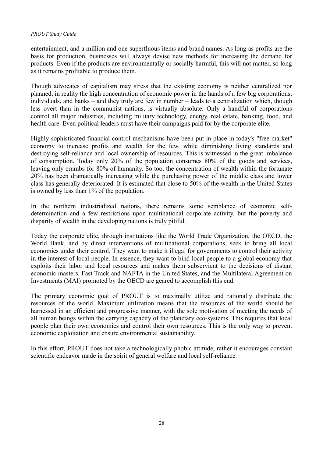entertainment, and a million and one superfluous items and brand names. As long as profits are the basis for production, businesses will always devise new methods for increasing the demand for products. Even if the products are environmentally or socially harmful, this will not matter, so long as it remains profitable to produce them.

Though advocates of capitalism may stress that the existing economy is neither centralized nor planned, in reality the high concentration of economic power in the hands of a few big corporations, individuals, and banks – and they truly are few in number – leads to a centralization which, though less overt than in the communist nations, is virtually absolute. Only a handful of corporations control all major industries, including military technology, energy, real estate, banking, food, and health care. Even political leaders must have their campaigns paid for by the corporate elite.

Highly sophisticated financial control mechanisms have been put in place in today's "free market" economy to increase profits and wealth for the few, while diminishing living standards and destroying self-reliance and local ownership of resources. This is witnessed in the great imbalance of consumption. Today only 20% of the population consumes 80% of the goods and services, leaving only crumbs for 80% of humanity. So too, the concentration of wealth within the fortunate 20% has been dramatically increasing while the purchasing power of the middle class and lower class has generally deteriorated. It is estimated that close to 50% of the wealth in the United States is owned by less than 1% of the population.

In the northern industrialized nations, there remains some semblance of economic selfdetermination and a few restrictions upon multinational corporate activity, but the poverty and disparity of wealth in the developing nations is truly pitiful.

Today the corporate elite, through institutions like the World Trade Organization, the OECD, the World Bank, and by direct interventions of multinational corporations, seek to bring all local economies under their control. They want to make it illegal for governments to control their activity in the interest of local people. In essence, they want to bind local people to a global economy that exploits their labor and local resources and makes them subservient to the decisions of distant economic masters. Fast Track and NAFTA in the United States, and the Multilateral Agreement on Investments (MAI) promoted by the OECD are geared to accomplish this end.

The primary economic goal of PROUT is to maximally utilize and rationally distribute the resources of the world. Maximum utilization means that the resources of the world should be harnessed in an efficient and progressive manner, with the sole motivation of meeting the needs of all human beings within the carrying capacity of the planetary eco-systems. This requires that local people plan their own economies and control their own resources. This is the only way to prevent economic exploitation and ensure environmental sustainability.

In this effort, PROUT does not take a technologically phobic attitude, rather it encourages constant scientific endeavor made in the spirit of general welfare and local self-reliance.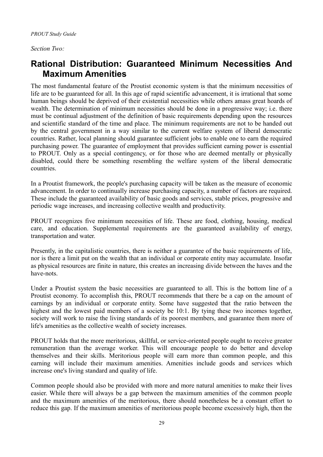*Section Two:*

# **Rational Distribution: Guaranteed Minimum Necessities And Maximum Amenities**

The most fundamental feature of the Proutist economic system is that the minimum necessities of life are to be guaranteed for all. In this age of rapid scientific advancement, it is irrational that some human beings should be deprived of their existential necessities while others amass great hoards of wealth. The determination of minimum necessities should be done in a progressive way; i.e. there must be continual adjustment of the definition of basic requirements depending upon the resources and scientific standard of the time and place. The minimum requirements are not to be handed out by the central government in a way similar to the current welfare system of liberal democratic countries. Rather, local planning should guarantee sufficient jobs to enable one to earn the required purchasing power. The guarantee of employment that provides sufficient earning power is essential to PROUT. Only as a special contingency, or for those who are deemed mentally or physically disabled, could there be something resembling the welfare system of the liberal democratic countries.

In a Proutist framework, the people's purchasing capacity will be taken as the measure of economic advancement. In order to continually increase purchasing capacity, a number of factors are required. These include the guaranteed availability of basic goods and services, stable prices, progressive and periodic wage increases, and increasing collective wealth and productivity.

PROUT recognizes five minimum necessities of life. These are food, clothing, housing, medical care, and education. Supplemental requirements are the guaranteed availability of energy, transportation and water.

Presently, in the capitalistic countries, there is neither a guarantee of the basic requirements of life, nor is there a limit put on the wealth that an individual or corporate entity may accumulate. Insofar as physical resources are finite in nature, this creates an increasing divide between the haves and the have-nots.

Under a Proutist system the basic necessities are guaranteed to all. This is the bottom line of a Proutist economy. To accomplish this, PROUT recommends that there be a cap on the amount of earnings by an individual or corporate entity. Some have suggested that the ratio between the highest and the lowest paid members of a society be 10:1. By tying these two incomes together, society will work to raise the living standards of its poorest members, and guarantee them more of life's amenities as the collective wealth of society increases.

PROUT holds that the more meritorious, skillful, or service-oriented people ought to receive greater remuneration than the average worker. This will encourage people to do better and develop themselves and their skills. Meritorious people will earn more than common people, and this earning will include their maximum amenities. Amenities include goods and services which increase one's living standard and quality of life.

Common people should also be provided with more and more natural amenities to make their lives easier. While there will always be a gap between the maximum amenities of the common people and the maximum amenities of the meritorious, there should nonetheless be a constant effort to reduce this gap. If the maximum amenities of meritorious people become excessively high, then the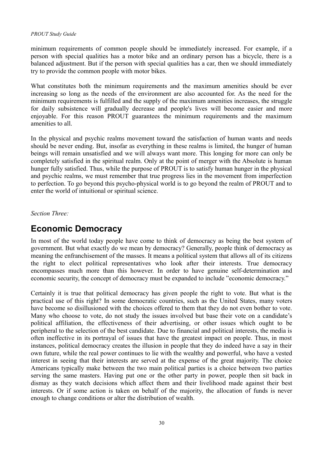minimum requirements of common people should be immediately increased. For example, if a person with special qualities has a motor bike and an ordinary person has a bicycle, there is a balanced adjustment. But if the person with special qualities has a car, then we should immediately try to provide the common people with motor bikes.

What constitutes both the minimum requirements and the maximum amenities should be ever increasing so long as the needs of the environment are also accounted for. As the need for the minimum requirements is fulfilled and the supply of the maximum amenities increases, the struggle for daily subsistence will gradually decrease and people's lives will become easier and more enjoyable. For this reason PROUT guarantees the minimum requirements and the maximum amenities to all.

In the physical and psychic realms movement toward the satisfaction of human wants and needs should be never ending. But, insofar as everything in these realms is limited, the hunger of human beings will remain unsatisfied and we will always want more. This longing for more can only be completely satisfied in the spiritual realm. Only at the point of merger with the Absolute is human hunger fully satisfied. Thus, while the purpose of PROUT is to satisfy human hunger in the physical and psychic realms, we must remember that true progress lies in the movement from imperfection to perfection. To go beyond this psycho-physical world is to go beyond the realm of PROUT and to enter the world of intuitional or spiritual science.

*Section Three:*

# **Economic Democracy**

In most of the world today people have come to think of democracy as being the best system of government. But what exactly do we mean by democracy? Generally, people think of democracy as meaning the enfranchisement of the masses. It means a political system that allows all of its citizens the right to elect political representatives who look after their interests. True democracy encompasses much more than this however. In order to have genuine self-determination and economic security, the concept of democracy must be expanded to include "economic democracy."

Certainly it is true that political democracy has given people the right to vote. But what is the practical use of this right? In some democratic countries, such as the United States, many voters have become so disillusioned with the choices offered to them that they do not even bother to vote. Many who choose to vote, do not study the issues involved but base their vote on a candidate's political affiliation, the effectiveness of their advertising, or other issues which ought to be peripheral to the selection of the best candidate. Due to financial and political interests, the media is often ineffective in its portrayal of issues that have the greatest impact on people. Thus, in most instances, political democracy creates the illusion in people that they do indeed have a say in their own future, while the real power continues to lie with the wealthy and powerful, who have a vested interest in seeing that their interests are served at the expense of the great majority. The choice Americans typically make between the two main political parties is a choice between two parties serving the same masters. Having put one or the other party in power, people then sit back in dismay as they watch decisions which affect them and their livelihood made against their best interests. Or if some action is taken on behalf of the majority, the allocation of funds is never enough to change conditions or alter the distribution of wealth.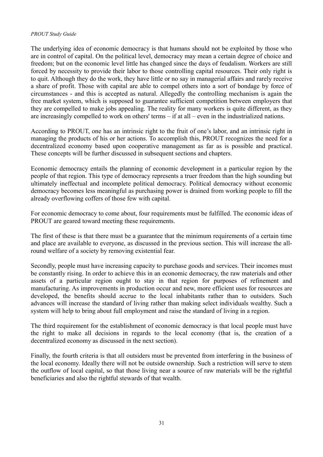The underlying idea of economic democracy is that humans should not be exploited by those who are in control of capital. On the political level, democracy may mean a certain degree of choice and freedom; but on the economic level little has changed since the days of feudalism. Workers are still forced by necessity to provide their labor to those controlling capital resources. Their only right is to quit. Although they do the work, they have little or no say in managerial affairs and rarely receive a share of profit. Those with capital are able to compel others into a sort of bondage by force of circumstances - and this is accepted as natural. Allegedly the controlling mechanism is again the free market system, which is supposed to guarantee sufficient competition between employers that they are compelled to make jobs appealing. The reality for many workers is quite different, as they are increasingly compelled to work on others' terms – if at all – even in the industrialized nations.

According to PROUT, one has an intrinsic right to the fruit of one's labor, and an intrinsic right in managing the products of his or her actions. To accomplish this, PROUT recognizes the need for a decentralized economy based upon cooperative management as far as is possible and practical. These concepts will be further discussed in subsequent sections and chapters.

Economic democracy entails the planning of economic development in a particular region by the people of that region. This type of democracy represents a truer freedom than the high sounding but ultimately ineffectual and incomplete political democracy. Political democracy without economic democracy becomes less meaningful as purchasing power is drained from working people to fill the already overflowing coffers of those few with capital.

For economic democracy to come about, four requirements must be fulfilled. The economic ideas of PROUT are geared toward meeting these requirements.

The first of these is that there must be a guarantee that the minimum requirements of a certain time and place are available to everyone, as discussed in the previous section. This will increase the allround welfare of a society by removing existential fear.

Secondly, people must have increasing capacity to purchase goods and services. Their incomes must be constantly rising. In order to achieve this in an economic democracy, the raw materials and other assets of a particular region ought to stay in that region for purposes of refinement and manufacturing. As improvements in production occur and new, more efficient uses for resources are developed, the benefits should accrue to the local inhabitants rather than to outsiders. Such advances will increase the standard of living rather than making select individuals wealthy. Such a system will help to bring about full employment and raise the standard of living in a region.

The third requirement for the establishment of economic democracy is that local people must have the right to make all decisions in regards to the local economy (that is, the creation of a decentralized economy as discussed in the next section).

Finally, the fourth criteria is that all outsiders must be prevented from interfering in the business of the local economy. Ideally there will not be outside ownership. Such a restriction will serve to stem the outflow of local capital, so that those living near a source of raw materials will be the rightful beneficiaries and also the rightful stewards of that wealth.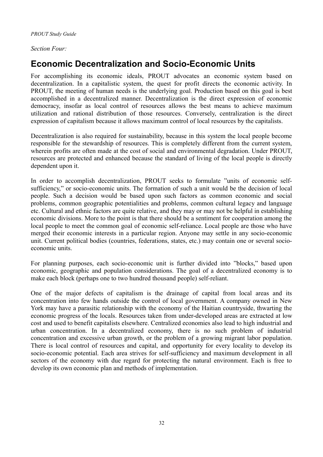*Section Four:*

# **Economic Decentralization and Socio-Economic Units**

For accomplishing its economic ideals, PROUT advocates an economic system based on decentralization. In a capitalistic system, the quest for profit directs the economic activity. In PROUT, the meeting of human needs is the underlying goal. Production based on this goal is best accomplished in a decentralized manner. Decentralization is the direct expression of economic democracy, insofar as local control of resources allows the best means to achieve maximum utilization and rational distribution of those resources. Conversely, centralization is the direct expression of capitalism because it allows maximum control of local resources by the capitalists.

Decentralization is also required for sustainability, because in this system the local people become responsible for the stewardship of resources. This is completely different from the current system, wherein profits are often made at the cost of social and environmental degradation. Under PROUT, resources are protected and enhanced because the standard of living of the local people is directly dependent upon it.

In order to accomplish decentralization, PROUT seeks to formulate "units of economic selfsufficiency," or socio-economic units. The formation of such a unit would be the decision of local people. Such a decision would be based upon such factors as common economic and social problems, common geographic potentialities and problems, common cultural legacy and language etc. Cultural and ethnic factors are quite relative, and they may or may not be helpful in establishing economic divisions. More to the point is that there should be a sentiment for cooperation among the local people to meet the common goal of economic self-reliance. Local people are those who have merged their economic interests in a particular region. Anyone may settle in any socio-economic unit. Current political bodies (countries, federations, states, etc.) may contain one or several socioeconomic units.

For planning purposes, each socio-economic unit is further divided into "blocks," based upon economic, geographic and population considerations. The goal of a decentralized economy is to make each block (perhaps one to two hundred thousand people) self-reliant.

One of the major defects of capitalism is the drainage of capital from local areas and its concentration into few hands outside the control of local government. A company owned in New York may have a parasitic relationship with the economy of the Haitian countryside, thwarting the economic progress of the locals. Resources taken from under-developed areas are extracted at low cost and used to benefit capitalists elsewhere. Centralized economies also lead to high industrial and urban concentration. In a decentralized economy, there is no such problem of industrial concentration and excessive urban growth, or the problem of a growing migrant labor population. There is local control of resources and capital, and opportunity for every locality to develop its socio-economic potential. Each area strives for self-sufficiency and maximum development in all sectors of the economy with due regard for protecting the natural environment. Each is free to develop its own economic plan and methods of implementation.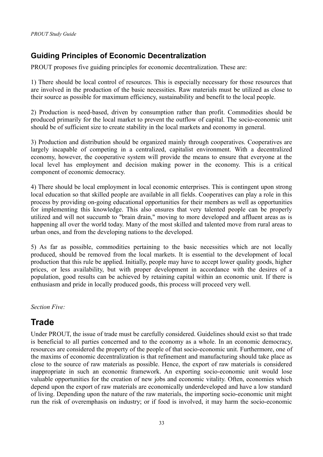### **Guiding Principles of Economic Decentralization**

PROUT proposes five guiding principles for economic decentralization. These are:

1) There should be local control of resources. This is especially necessary for those resources that are involved in the production of the basic necessities. Raw materials must be utilized as close to their source as possible for maximum efficiency, sustainability and benefit to the local people.

2) Production is need-based, driven by consumption rather than profit. Commodities should be produced primarily for the local market to prevent the outflow of capital. The socio-economic unit should be of sufficient size to create stability in the local markets and economy in general.

3) Production and distribution should be organized mainly through cooperatives. Cooperatives are largely incapable of competing in a centralized, capitalist environment. With a decentralized economy, however, the cooperative system will provide the means to ensure that everyone at the local level has employment and decision making power in the economy. This is a critical component of economic democracy.

4) There should be local employment in local economic enterprises. This is contingent upon strong local education so that skilled people are available in all fields. Cooperatives can play a role in this process by providing on-going educational opportunities for their members as well as opportunities for implementing this knowledge. This also ensures that very talented people can be properly utilized and will not succumb to "brain drain," moving to more developed and affluent areas as is happening all over the world today. Many of the most skilled and talented move from rural areas to urban ones, and from the developing nations to the developed.

5) As far as possible, commodities pertaining to the basic necessities which are not locally produced, should be removed from the local markets. It is essential to the development of local production that this rule be applied. Initially, people may have to accept lower quality goods, higher prices, or less availability, but with proper development in accordance with the desires of a population, good results can be achieved by retaining capital within an economic unit. If there is enthusiasm and pride in locally produced goods, this process will proceed very well.

*Section Five:*

# **Trade**

Under PROUT, the issue of trade must be carefully considered. Guidelines should exist so that trade is beneficial to all parties concerned and to the economy as a whole. In an economic democracy, resources are considered the property of the people of that socio-economic unit. Furthermore, one of the maxims of economic decentralization is that refinement and manufacturing should take place as close to the source of raw materials as possible. Hence, the export of raw materials is considered inappropriate in such an economic framework. An exporting socio-economic unit would lose valuable opportunities for the creation of new jobs and economic vitality. Often, economies which depend upon the export of raw materials are economically underdeveloped and have a low standard of living. Depending upon the nature of the raw materials, the importing socio-economic unit might run the risk of overemphasis on industry; or if food is involved, it may harm the socio-economic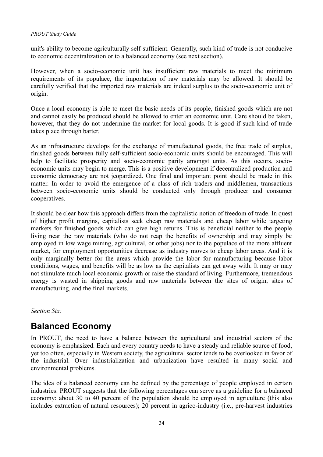unit's ability to become agriculturally self-sufficient. Generally, such kind of trade is not conducive to economic decentralization or to a balanced economy (see next section).

However, when a socio-economic unit has insufficient raw materials to meet the minimum requirements of its populace, the importation of raw materials may be allowed. It should be carefully verified that the imported raw materials are indeed surplus to the socio-economic unit of origin.

Once a local economy is able to meet the basic needs of its people, finished goods which are not and cannot easily be produced should be allowed to enter an economic unit. Care should be taken, however, that they do not undermine the market for local goods. It is good if such kind of trade takes place through barter.

As an infrastructure develops for the exchange of manufactured goods, the free trade of surplus, finished goods between fully self-sufficient socio-economic units should be encouraged. This will help to facilitate prosperity and socio-economic parity amongst units. As this occurs, socioeconomic units may begin to merge. This is a positive development if decentralized production and economic democracy are not jeopardized. One final and important point should be made in this matter. In order to avoid the emergence of a class of rich traders and middlemen, transactions between socio-economic units should be conducted only through producer and consumer cooperatives.

It should be clear how this approach differs from the capitalistic notion of freedom of trade. In quest of higher profit margins, capitalists seek cheap raw materials and cheap labor while targeting markets for finished goods which can give high returns. This is beneficial neither to the people living near the raw materials (who do not reap the benefits of ownership and may simply be employed in low wage mining, agricultural, or other jobs) nor to the populace of the more affluent market, for employment opportunities decrease as industry moves to cheap labor areas. And it is only marginally better for the areas which provide the labor for manufacturing because labor conditions, wages, and benefits will be as low as the capitalists can get away with. It may or may not stimulate much local economic growth or raise the standard of living. Furthermore, tremendous energy is wasted in shipping goods and raw materials between the sites of origin, sites of manufacturing, and the final markets.

*Section Six:*

# **Balanced Economy**

In PROUT, the need to have a balance between the agricultural and industrial sectors of the economy is emphasized. Each and every country needs to have a steady and reliable source of food, yet too often, especially in Western society, the agricultural sector tends to be overlooked in favor of the industrial. Over industrialization and urbanization have resulted in many social and environmental problems.

The idea of a balanced economy can be defined by the percentage of people employed in certain industries. PROUT suggests that the following percentages can serve as a guideline for a balanced economy: about 30 to 40 percent of the population should be employed in agriculture (this also includes extraction of natural resources); 20 percent in agrico-industry (i.e., pre-harvest industries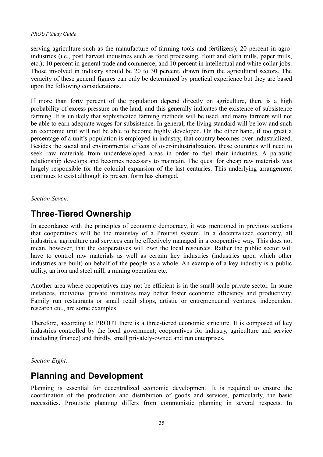serving agriculture such as the manufacture of farming tools and fertilizers); 20 percent in agroindustries (i.e., post harvest industries such as food processing, flour and cloth mills, paper mills, etc.); 10 percent in general trade and commerce; and 10 percent in intellectual and white collar jobs. Those involved in industry should be 20 to 30 percent, drawn from the agricultural sectors. The veracity of these general figures can only be determined by practical experience but they are based upon the following considerations.

If more than forty percent of the population depend directly on agriculture, there is a high probability of excess pressure on the land, and this generally indicates the existence of subsistence farming. It is unlikely that sophisticated farming methods will be used, and many farmers will not be able to earn adequate wages for subsistence. In general, the living standard will be low and such an economic unit will not be able to become highly developed. On the other hand, if too great a percentage of a unit's population is employed in industry, that country becomes over-industrialized. Besides the social and environmental effects of over-industrialization, these countries will need to seek raw materials from underdeveloped areas in order to fuel their industries. A parasitic relationship develops and becomes necessary to maintain. The quest for cheap raw materials was largely responsible for the colonial expansion of the last centuries. This underlying arrangement continues to exist although its present form has changed.

### *Section Seven:*

# **Three-Tiered Ownership**

In accordance with the principles of economic democracy, it was mentioned in previous sections that cooperatives will be the mainstay of a Proutist system. In a decentralized economy, all industries, agriculture and services can be effectively managed in a cooperative way. This does not mean, however, that the cooperatives will own the local resources. Rather the public sector will have to control raw materials as well as certain key industries (industries upon which other industries are built) on behalf of the people as a whole. An example of a key industry is a public utility, an iron and steel mill, a mining operation etc.

Another area where cooperatives may not be efficient is in the small-scale private sector. In some instances, individual private initiatives may better foster economic efficiency and productivity. Family run restaurants or small retail shops, artistic or entrepreneurial ventures, independent research etc., are some examples.

Therefore, according to PROUT there is a three-tiered economic structure. It is composed of key industries controlled by the local government; cooperatives for industry, agriculture and service (including finance) and thirdly, small privately-owned and run enterprises.

*Section Eight:*

# **Planning and Development**

Planning is essential for decentralized economic development. It is required to ensure the coordination of the production and distribution of goods and services, particularly, the basic necessities. Proutistic planning differs from communistic planning in several respects. In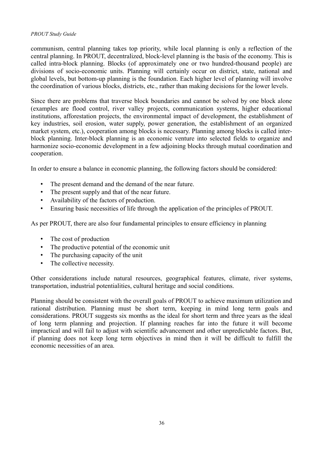communism, central planning takes top priority, while local planning is only a reflection of the central planning. In PROUT, decentralized, block-level planning is the basis of the economy. This is called intra-block planning. Blocks (of approximately one or two hundred-thousand people) are divisions of socio-economic units. Planning will certainly occur on district, state, national and global levels, but bottom-up planning is the foundation. Each higher level of planning will involve the coordination of various blocks, districts, etc., rather than making decisions for the lower levels.

Since there are problems that traverse block boundaries and cannot be solved by one block alone (examples are flood control, river valley projects, communication systems, higher educational institutions, afforestation projects, the environmental impact of development, the establishment of key industries, soil erosion, water supply, power generation, the establishment of an organized market system, etc.), cooperation among blocks is necessary. Planning among blocks is called interblock planning. Inter-block planning is an economic venture into selected fields to organize and harmonize socio-economic development in a few adjoining blocks through mutual coordination and cooperation.

In order to ensure a balance in economic planning, the following factors should be considered:

- The present demand and the demand of the near future.
- The present supply and that of the near future.
- Availability of the factors of production.
- Ensuring basic necessities of life through the application of the principles of PROUT.

As per PROUT, there are also four fundamental principles to ensure efficiency in planning

- The cost of production
- The productive potential of the economic unit
- The purchasing capacity of the unit
- The collective necessity.

Other considerations include natural resources, geographical features, climate, river systems, transportation, industrial potentialities, cultural heritage and social conditions.

Planning should be consistent with the overall goals of PROUT to achieve maximum utilization and rational distribution. Planning must be short term, keeping in mind long term goals and considerations. PROUT suggests six months as the ideal for short term and three years as the ideal of long term planning and projection. If planning reaches far into the future it will become impractical and will fail to adjust with scientific advancement and other unpredictable factors. But, if planning does not keep long term objectives in mind then it will be difficult to fulfill the economic necessities of an area.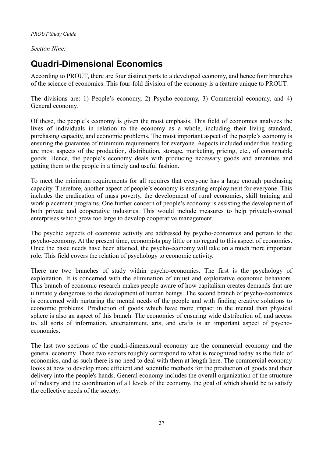*Section Nine:*

# **Quadri-Dimensional Economics**

According to PROUT, there are four distinct parts to a developed economy, and hence four branches of the science of economics. This four-fold division of the economy is a feature unique to PROUT.

The divisions are: 1) People's economy, 2) Psycho-economy, 3) Commercial economy, and 4) General economy.

Of these, the people's economy is given the most emphasis. This field of economics analyzes the lives of individuals in relation to the economy as a whole, including their living standard, purchasing capacity, and economic problems. The most important aspect of the people's economy is ensuring the guarantee of minimum requirements for everyone. Aspects included under this heading are most aspects of the production, distribution, storage, marketing, pricing, etc., of consumable goods. Hence, the people's economy deals with producing necessary goods and amenities and getting them to the people in a timely and useful fashion.

To meet the minimum requirements for all requires that everyone has a large enough purchasing capacity. Therefore, another aspect of people's economy is ensuring employment for everyone. This includes the eradication of mass poverty, the development of rural economies, skill training and work placement programs. One further concern of people's economy is assisting the development of both private and cooperative industries. This would include measures to help privately-owned enterprises which grow too large to develop cooperative management.

The psychic aspects of economic activity are addressed by psycho-economics and pertain to the psycho-economy. At the present time, economists pay little or no regard to this aspect of economics. Once the basic needs have been attained, the psycho-economy will take on a much more important role. This field covers the relation of psychology to economic activity.

There are two branches of study within psycho-economics. The first is the psychology of exploitation. It is concerned with the elimination of unjust and exploitative economic behaviors. This branch of economic research makes people aware of how capitalism creates demands that are ultimately dangerous to the development of human beings. The second branch of psycho-economics is concerned with nurturing the mental needs of the people and with finding creative solutions to economic problems. Production of goods which have more impact in the mental than physical sphere is also an aspect of this branch. The economics of ensuring wide distribution of, and access to, all sorts of information, entertainment, arts, and crafts is an important aspect of psychoeconomics.

The last two sections of the quadri-dimensional economy are the commercial economy and the general economy. These two sectors roughly correspond to what is recognized today as the field of economics, and as such there is no need to deal with them at length here. The commercial economy looks at how to develop more efficient and scientific methods for the production of goods and their delivery into the people's hands. General economy includes the overall organization of the structure of industry and the coordination of all levels of the economy, the goal of which should be to satisfy the collective needs of the society.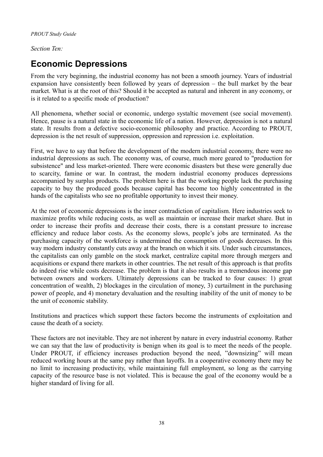*Section Ten:*

# **Economic Depressions**

From the very beginning, the industrial economy has not been a smooth journey. Years of industrial expansion have consistently been followed by years of depression – the bull market by the bear market. What is at the root of this? Should it be accepted as natural and inherent in any economy, or is it related to a specific mode of production?

All phenomena, whether social or economic, undergo systaltic movement (see social movement). Hence, pause is a natural state in the economic life of a nation. However, depression is not a natural state. It results from a defective socio-economic philosophy and practice. According to PROUT, depression is the net result of suppression, oppression and repression i.e. exploitation.

First, we have to say that before the development of the modern industrial economy, there were no industrial depressions as such. The economy was, of course, much more geared to "production for subsistence" and less market-oriented. There were economic disasters but these were generally due to scarcity, famine or war. In contrast, the modern industrial economy produces depressions accompanied by surplus products. The problem here is that the working people lack the purchasing capacity to buy the produced goods because capital has become too highly concentrated in the hands of the capitalists who see no profitable opportunity to invest their money.

At the root of economic depressions is the inner contradiction of capitalism. Here industries seek to maximize profits while reducing costs, as well as maintain or increase their market share. But in order to increase their profits and decrease their costs, there is a constant pressure to increase efficiency and reduce labor costs. As the economy slows, people's jobs are terminated. As the purchasing capacity of the workforce is undermined the consumption of goods decreases. In this way modern industry constantly cuts away at the branch on which it sits. Under such circumstances, the capitalists can only gamble on the stock market, centralize capital more through mergers and acquisitions or expand there markets in other countries. The net result of this approach is that profits do indeed rise while costs decrease. The problem is that it also results in a tremendous income gap between owners and workers. Ultimately depressions can be tracked to four causes: 1) great concentration of wealth, 2) blockages in the circulation of money, 3) curtailment in the purchasing power of people, and 4) monetary devaluation and the resulting inability of the unit of money to be the unit of economic stability.

Institutions and practices which support these factors become the instruments of exploitation and cause the death of a society.

These factors are not inevitable. They are not inherent by nature in every industrial economy. Rather we can say that the law of productivity is benign when its goal is to meet the needs of the people. Under PROUT, if efficiency increases production beyond the need, "downsizing" will mean reduced working hours at the same pay rather than layoffs. In a cooperative economy there may be no limit to increasing productivity, while maintaining full employment, so long as the carrying capacity of the resource base is not violated. This is because the goal of the economy would be a higher standard of living for all.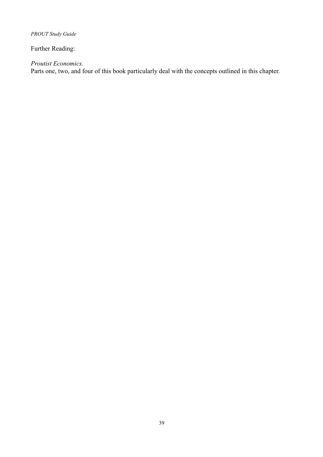Further Reading:

## *Proutist Economics.*

Parts one, two, and four of this book particularly deal with the concepts outlined in this chapter.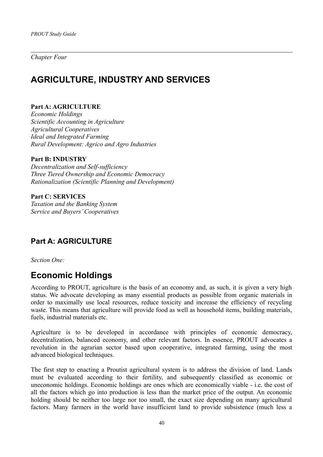*Chapter Four*

# **AGRICULTURE, INDUSTRY AND SERVICES**

### **Part A: AGRICULTURE**

*Economic Holdings Scientific Accounting in Agriculture Agricultural Cooperatives Ideal and Integrated Farming Rural Development: Agrico and Agro Industries*

## **Part B: INDUSTRY**

*Decentralization and Self-sufficiency Three Tiered Ownership and Economic Democracy Rationalization (Scientific Planning and Development)*

**Part C: SERVICES** *Taxation and the Banking System Service and Buyers' Cooperatives*

## **Part A: AGRICULTURE**

*Section One:*

# **Economic Holdings**

According to PROUT, agriculture is the basis of an economy and, as such, it is given a very high status. We advocate developing as many essential products as possible from organic materials in order to maximally use local resources, reduce toxicity and increase the efficiency of recycling waste. This means that agriculture will provide food as well as household items, building materials, fuels, industrial materials etc.

Agriculture is to be developed in accordance with principles of economic democracy, decentralization, balanced economy, and other relevant factors. In essence, PROUT advocates a revolution in the agrarian sector based upon cooperative, integrated farming, using the most advanced biological techniques.

The first step to enacting a Proutist agricultural system is to address the division of land. Lands must be evaluated according to their fertility, and subsequently classified as economic or uneconomic holdings. Economic holdings are ones which are economically viable - i.e. the cost of all the factors which go into production is less than the market price of the output. An economic holding should be neither too large nor too small, the exact size depending on many agricultural factors. Many farmers in the world have insufficient land to provide subsistence (much less a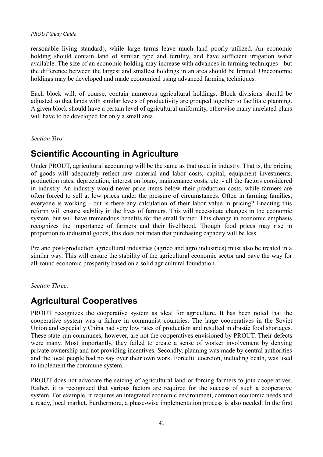reasonable living standard), while large farms leave much land poorly utilized. An economic holding should contain land of similar type and fertility, and have sufficient irrigation water available. The size of an economic holding may increase with advances in farming techniques - but the difference between the largest and smallest holdings in an area should be limited. Uneconomic holdings may be developed and made economical using advanced farming techniques.

Each block will, of course, contain numerous agricultural holdings. Block divisions should be adjusted so that lands with similar levels of productivity are grouped together to facilitate planning. A given block should have a certain level of agricultural uniformity, otherwise many unrelated plans will have to be developed for only a small area.

*Section Two:*

# **Scientific Accounting in Agriculture**

Under PROUT, agricultural accounting will be the same as that used in industry. That is, the pricing of goods will adequately reflect raw material and labor costs, capital, equipment investments, production rates, depreciation, interest on loans, maintenance costs, etc. - all the factors considered in industry. An industry would never price items below their production costs, while farmers are often forced to sell at low prices under the pressure of circumstances. Often in farming families, everyone is working - but is there any calculation of their labor value in pricing? Enacting this reform will ensure stability in the lives of farmers. This will necessitate changes in the economic system, but will have tremendous benefits for the small farmer. This change in economic emphasis recognizes the importance of farmers and their livelihood. Though food prices may rise in proportion to industrial goods, this does not mean that purchasing capacity will be less.

Pre and post-production agricultural industries (agrico and agro industries) must also be treated in a similar way. This will ensure the stability of the agricultural economic sector and pave the way for all-round economic prosperity based on a solid agricultural foundation.

*Section Three:*

# **Agricultural Cooperatives**

PROUT recognizes the cooperative system as ideal for agriculture. It has been noted that the cooperative system was a failure in communist countries. The large cooperatives in the Soviet Union and especially China had very low rates of production and resulted in drastic food shortages. These state-run communes, however, are not the cooperatives envisioned by PROUT. Their defects were many. Most importantly, they failed to create a sense of worker involvement by denying private ownership and not providing incentives. Secondly, planning was made by central authorities and the local people had no say over their own work. Forceful coercion, including death, was used to implement the commune system.

PROUT does not advocate the seizing of agricultural land or forcing farmers to join cooperatives. Rather, it is recognized that various factors are required for the success of such a cooperative system. For example, it requires an integrated economic environment, common economic needs and a ready, local market. Furthermore, a phase-wise implementation process is also needed. In the first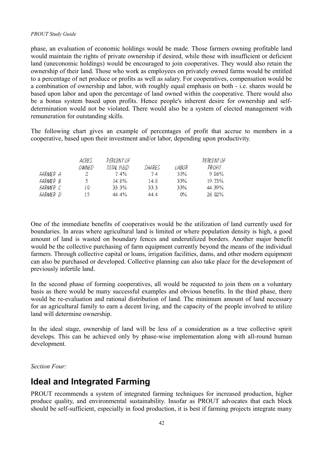phase, an evaluation of economic holdings would be made. Those farmers owning profitable land would maintain the rights of private ownership if desired, while those with insufficient or deficient land (uneconomic holdings) would be encouraged to join cooperatives. They would also retain the ownership of their land. Those who work as employees on privately owned farms would be entitled to a percentage of net produce or profits as well as salary. For cooperatives, compensation would be a combination of ownership and labor, with roughly equal emphasis on both - i.e. shares would be based upon labor and upon the percentage of land owned within the cooperative. There would also be a bonus system based upon profits. Hence people's inherent desire for ownership and selfdetermination would not be violated. There would also be a system of elected management with remuneration for outstanding skills.

The following chart gives an example of percentages of profit that accrue to members in a cooperative, based upon their investment and/or labor, depending upon productivity.

|          | ACRES        | PERCENT OF  |        |        | PERCENT OF    |
|----------|--------------|-------------|--------|--------|---------------|
|          | <i>AWNED</i> | TOTAL YIELD | SHARES | LAROP. | <i>PPOFIT</i> |
| FARMER A | 2            | 7.4%        | -7.4   | 33%    | 9.86%         |
| FARMER R | 5            | 14.8%       | 14.8   | 33%    | 19.73%        |
| FARMER C | 10           | 33 3%       | 333    | 33%    | 44. 39%       |
| FARMER D | 15           | 44 4%       | 44 4   | M%     | -26.02%       |

One of the immediate benefits of cooperatives would be the utilization of land currently used for boundaries. In areas where agricultural land is limited or where population density is high, a good amount of land is wasted on boundary fences and underutilized borders. Another major benefit would be the collective purchasing of farm equipment currently beyond the means of the individual farmers. Through collective capital or loans, irrigation facilities, dams, and other modern equipment can also be purchased or developed. Collective planning can also take place for the development of previously infertile land.

In the second phase of forming cooperatives, all would be requested to join them on a voluntary basis as there would be many successful examples and obvious benefits. In the third phase, there would be re-evaluation and rational distribution of land. The minimum amount of land necessary for an agricultural family to earn a decent living, and the capacity of the people involved to utilize land will determine ownership.

In the ideal stage, ownership of land will be less of a consideration as a true collective spirit develops. This can be achieved only by phase-wise implementation along with all-round human development.

*Section Four:*

# **Ideal and Integrated Farming**

PROUT recommends a system of integrated farming techniques for increased production, higher produce quality, and environmental sustainability. Insofar as PROUT advocates that each block should be self-sufficient, especially in food production, it is best if farming projects integrate many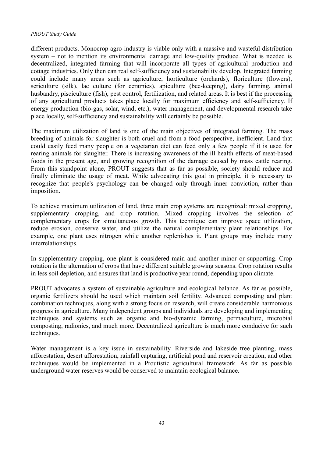different products. Monocrop agro-industry is viable only with a massive and wasteful distribution system – not to mention its environmental damage and low-quality produce. What is needed is decentralized, integrated farming that will incorporate all types of agricultural production and cottage industries. Only then can real self-sufficiency and sustainability develop. Integrated farming could include many areas such as agriculture, horticulture (orchards), floriculture (flowers), sericulture (silk), lac culture (for ceramics), apiculture (bee-keeping), dairy farming, animal husbandry, pisciculture (fish), pest control, fertilization, and related areas. It is best if the processing of any agricultural products takes place locally for maximum efficiency and self-sufficiency. If energy production (bio-gas, solar, wind, etc.), water management, and developmental research take place locally, self-sufficiency and sustainability will certainly be possible.

The maximum utilization of land is one of the main objectives of integrated farming. The mass breeding of animals for slaughter is both cruel and from a food perspective, inefficient. Land that could easily feed many people on a vegetarian diet can feed only a few people if it is used for rearing animals for slaughter. There is increasing awareness of the ill health effects of meat-based foods in the present age, and growing recognition of the damage caused by mass cattle rearing. From this standpoint alone, PROUT suggests that as far as possible, society should reduce and finally eliminate the usage of meat. While advocating this goal in principle, it is necessary to recognize that people's psychology can be changed only through inner conviction, rather than imposition.

To achieve maximum utilization of land, three main crop systems are recognized: mixed cropping, supplementary cropping, and crop rotation. Mixed cropping involves the selection of complementary crops for simultaneous growth. This technique can improve space utilization, reduce erosion, conserve water, and utilize the natural complementary plant relationships. For example, one plant uses nitrogen while another replenishes it. Plant groups may include many interrelationships.

In supplementary cropping, one plant is considered main and another minor or supporting. Crop rotation is the alternation of crops that have different suitable growing seasons. Crop rotation results in less soil depletion, and ensures that land is productive year round, depending upon climate.

PROUT advocates a system of sustainable agriculture and ecological balance. As far as possible, organic fertilizers should be used which maintain soil fertility. Advanced composting and plant combination techniques, along with a strong focus on research, will create considerable harmonious progress in agriculture. Many independent groups and individuals are developing and implementing techniques and systems such as organic and bio-dynamic farming, permaculture, microbial composting, radionics, and much more. Decentralized agriculture is much more conducive for such techniques.

Water management is a key issue in sustainability. Riverside and lakeside tree planting, mass afforestation, desert afforestation, rainfall capturing, artificial pond and reservoir creation, and other techniques would be implemented in a Proutistic agricultural framework. As far as possible underground water reserves would be conserved to maintain ecological balance.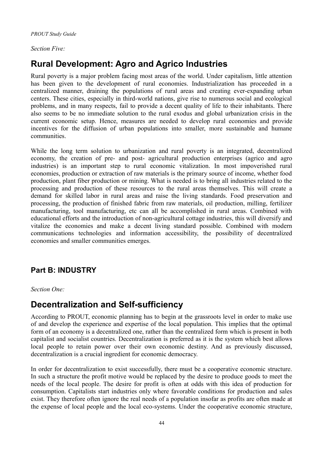*Section Five:*

# **Rural Development: Agro and Agrico Industries**

Rural poverty is a major problem facing most areas of the world. Under capitalism, little attention has been given to the development of rural economies. Industrialization has proceeded in a centralized manner, draining the populations of rural areas and creating ever-expanding urban centers. These cities, especially in third-world nations, give rise to numerous social and ecological problems, and in many respects, fail to provide a decent quality of life to their inhabitants. There also seems to be no immediate solution to the rural exodus and global urbanization crisis in the current economic setup. Hence, measures are needed to develop rural economies and provide incentives for the diffusion of urban populations into smaller, more sustainable and humane communities.

While the long term solution to urbanization and rural poverty is an integrated, decentralized economy, the creation of pre- and post- agricultural production enterprises (agrico and agro industries) is an important step to rural economic vitalization. In most impoverished rural economies, production or extraction of raw materials is the primary source of income, whether food production, plant fiber production or mining. What is needed is to bring all industries related to the processing and production of these resources to the rural areas themselves. This will create a demand for skilled labor in rural areas and raise the living standards. Food preservation and processing, the production of finished fabric from raw materials, oil production, milling, fertilizer manufacturing, tool manufacturing, etc can all be accomplished in rural areas. Combined with educational efforts and the introduction of non-agricultural cottage industries, this will diversify and vitalize the economies and make a decent living standard possible. Combined with modern communications technologies and information accessibility, the possibility of decentralized economies and smaller communities emerges.

## **Part B: INDUSTRY**

*Section One:*

# **Decentralization and Self-sufficiency**

According to PROUT, economic planning has to begin at the grassroots level in order to make use of and develop the experience and expertise of the local population. This implies that the optimal form of an economy is a decentralized one, rather than the centralized form which is present in both capitalist and socialist countries. Decentralization is preferred as it is the system which best allows local people to retain power over their own economic destiny. And as previously discussed, decentralization is a crucial ingredient for economic democracy.

In order for decentralization to exist successfully, there must be a cooperative economic structure. In such a structure the profit motive would be replaced by the desire to produce goods to meet the needs of the local people. The desire for profit is often at odds with this idea of production for consumption. Capitalists start industries only where favorable conditions for production and sales exist. They therefore often ignore the real needs of a population insofar as profits are often made at the expense of local people and the local eco-systems. Under the cooperative economic structure,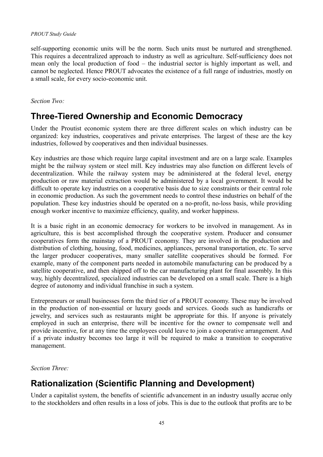self-supporting economic units will be the norm. Such units must be nurtured and strengthened. This requires a decentralized approach to industry as well as agriculture. Self-sufficiency does not mean only the local production of food – the industrial sector is highly important as well, and cannot be neglected. Hence PROUT advocates the existence of a full range of industries, mostly on a small scale, for every socio-economic unit.

### *Section Two:*

# **Three-Tiered Ownership and Economic Democracy**

Under the Proutist economic system there are three different scales on which industry can be organized: key industries, cooperatives and private enterprises. The largest of these are the key industries, followed by cooperatives and then individual businesses.

Key industries are those which require large capital investment and are on a large scale. Examples might be the railway system or steel mill. Key industries may also function on different levels of decentralization. While the railway system may be administered at the federal level, energy production or raw material extraction would be administered by a local government. It would be difficult to operate key industries on a cooperative basis due to size constraints or their central role in economic production. As such the government needs to control these industries on behalf of the population. These key industries should be operated on a no-profit, no-loss basis, while providing enough worker incentive to maximize efficiency, quality, and worker happiness.

It is a basic right in an economic democracy for workers to be involved in management. As in agriculture, this is best accomplished through the cooperative system. Producer and consumer cooperatives form the mainstay of a PROUT economy. They are involved in the production and distribution of clothing, housing, food, medicines, appliances, personal transportation, etc. To serve the larger producer cooperatives, many smaller satellite cooperatives should be formed. For example, many of the component parts needed in automobile manufacturing can be produced by a satellite cooperative, and then shipped off to the car manufacturing plant for final assembly. In this way, highly decentralized, specialized industries can be developed on a small scale. There is a high degree of autonomy and individual franchise in such a system.

Entrepreneurs or small businesses form the third tier of a PROUT economy. These may be involved in the production of non-essential or luxury goods and services. Goods such as handicrafts or jewelry, and services such as restaurants might be appropriate for this. If anyone is privately employed in such an enterprise, there will be incentive for the owner to compensate well and provide incentive, for at any time the employees could leave to join a cooperative arrangement. And if a private industry becomes too large it will be required to make a transition to cooperative management.

*Section Three:*

# **Rationalization (Scientific Planning and Development)**

Under a capitalist system, the benefits of scientific advancement in an industry usually accrue only to the stockholders and often results in a loss of jobs. This is due to the outlook that profits are to be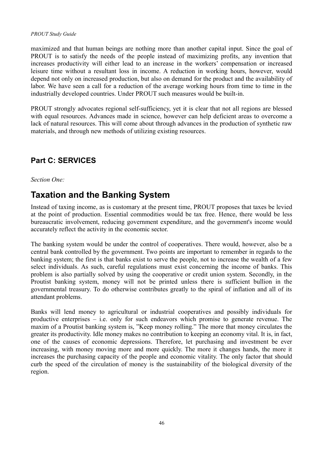maximized and that human beings are nothing more than another capital input. Since the goal of PROUT is to satisfy the needs of the people instead of maximizing profits, any invention that increases productivity will either lead to an increase in the workers' compensation or increased leisure time without a resultant loss in income. A reduction in working hours, however, would depend not only on increased production, but also on demand for the product and the availability of labor. We have seen a call for a reduction of the average working hours from time to time in the industrially developed countries. Under PROUT such measures would be built-in.

PROUT strongly advocates regional self-sufficiency, yet it is clear that not all regions are blessed with equal resources. Advances made in science, however can help deficient areas to overcome a lack of natural resources. This will come about through advances in the production of synthetic raw materials, and through new methods of utilizing existing resources.

## **Part C: SERVICES**

## *Section One:*

# **Taxation and the Banking System**

Instead of taxing income, as is customary at the present time, PROUT proposes that taxes be levied at the point of production. Essential commodities would be tax free. Hence, there would be less bureaucratic involvement, reducing government expenditure, and the government's income would accurately reflect the activity in the economic sector.

The banking system would be under the control of cooperatives. There would, however, also be a central bank controlled by the government. Two points are important to remember in regards to the banking system; the first is that banks exist to serve the people, not to increase the wealth of a few select individuals. As such, careful regulations must exist concerning the income of banks. This problem is also partially solved by using the cooperative or credit union system. Secondly, in the Proutist banking system, money will not be printed unless there is sufficient bullion in the governmental treasury. To do otherwise contributes greatly to the spiral of inflation and all of its attendant problems.

Banks will lend money to agricultural or industrial cooperatives and possibly individuals for productive enterprises – i.e. only for such endeavors which promise to generate revenue. The maxim of a Proutist banking system is, "Keep money rolling." The more that money circulates the greater its productivity. Idle money makes no contribution to keeping an economy vital. It is, in fact, one of the causes of economic depressions. Therefore, let purchasing and investment be ever increasing, with money moving more and more quickly. The more it changes hands, the more it increases the purchasing capacity of the people and economic vitality. The only factor that should curb the speed of the circulation of money is the sustainability of the biological diversity of the region.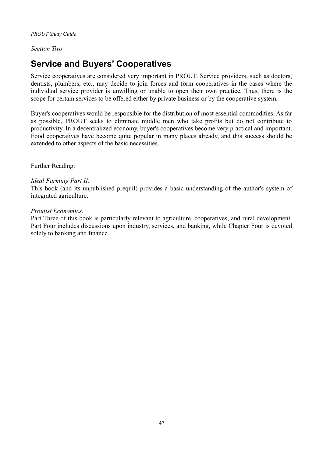*Section Two:*

# **Service and Buyers' Cooperatives**

Service cooperatives are considered very important in PROUT. Service providers, such as doctors, dentists, plumbers, etc., may decide to join forces and form cooperatives in the cases where the individual service provider is unwilling or unable to open their own practice. Thus, there is the scope for certain services to be offered either by private business or by the cooperative system.

Buyer's cooperatives would be responsible for the distribution of most essential commodities. As far as possible, PROUT seeks to eliminate middle men who take profits but do not contribute to productivity. In a decentralized economy, buyer's cooperatives become very practical and important. Food cooperatives have become quite popular in many places already, and this success should be extended to other aspects of the basic necessities.

Further Reading:

### *Ideal Farming Part II.*

This book (and its unpublished prequil) provides a basic understanding of the author's system of integrated agriculture.

### *Proutist Economics.*

Part Three of this book is particularly relevant to agriculture, cooperatives, and rural development. Part Four includes discussions upon industry, services, and banking, while Chapter Four is devoted solely to banking and finance.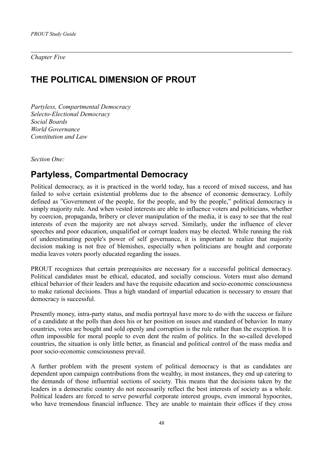*Chapter Five*

# **THE POLITICAL DIMENSION OF PROUT**

*Partyless, Compartmental Democracy Selecto-Electional Democracy Social Boards World Governance Constitution and Law*

*Section One:*

# **Partyless, Compartmental Democracy**

Political democracy, as it is practiced in the world today, has a record of mixed success, and has failed to solve certain existential problems due to the absence of economic democracy. Loftily defined as "Government of the people, for the people, and by the people," political democracy is simply majority rule. And when vested interests are able to influence voters and politicians, whether by coercion, propaganda, bribery or clever manipulation of the media, it is easy to see that the real interests of even the majority are not always served. Similarly, under the influence of clever speeches and poor education, unqualified or corrupt leaders may be elected. While running the risk of underestimating people's power of self governance, it is important to realize that majority decision making is not free of blemishes, especially when politicians are bought and corporate media leaves voters poorly educated regarding the issues.

PROUT recognizes that certain prerequisites are necessary for a successful political democracy. Political candidates must be ethical, educated, and socially conscious. Voters must also demand ethical behavior of their leaders and have the requisite education and socio-economic consciousness to make rational decisions. Thus a high standard of impartial education is necessary to ensure that democracy is successful.

Presently money, intra-party status, and media portrayal have more to do with the success or failure of a candidate at the polls than does his or her position on issues and standard of behavior. In many countries, votes are bought and sold openly and corruption is the rule rather than the exception. It is often impossible for moral people to even dent the realm of politics. In the so-called developed countries, the situation is only little better, as financial and political control of the mass media and poor socio-economic consciousness prevail.

A further problem with the present system of political democracy is that as candidates are dependent upon campaign contributions from the wealthy, in most instances, they end up catering to the demands of those influential sections of society. This means that the decisions taken by the leaders in a democratic country do not necessarily reflect the best interests of society as a whole. Political leaders are forced to serve powerful corporate interest groups, even immoral hypocrites, who have tremendous financial influence. They are unable to maintain their offices if they cross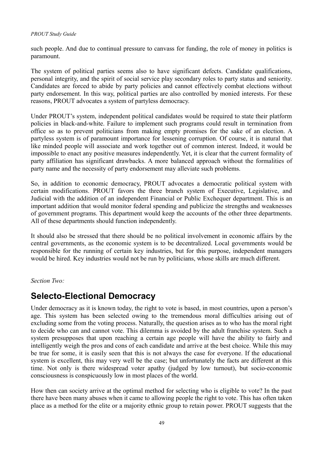such people. And due to continual pressure to canvass for funding, the role of money in politics is paramount.

The system of political parties seems also to have significant defects. Candidate qualifications, personal integrity, and the spirit of social service play secondary roles to party status and seniority. Candidates are forced to abide by party policies and cannot effectively combat elections without party endorsement. In this way, political parties are also controlled by monied interests. For these reasons, PROUT advocates a system of partyless democracy.

Under PROUT's system, independent political candidates would be required to state their platform policies in black-and-white. Failure to implement such programs could result in termination from office so as to prevent politicians from making empty promises for the sake of an election. A partyless system is of paramount importance for lessening corruption. Of course, it is natural that like minded people will associate and work together out of common interest. Indeed, it would be impossible to enact any positive measures independently. Yet, it is clear that the current formality of party affiliation has significant drawbacks. A more balanced approach without the formalities of party name and the necessity of party endorsement may alleviate such problems.

So, in addition to economic democracy, PROUT advocates a democratic political system with certain modifications. PROUT favors the three branch system of Executive, Legislative, and Judicial with the addition of an independent Financial or Public Exchequer department. This is an important addition that would monitor federal spending and publicize the strengths and weaknesses of government programs. This department would keep the accounts of the other three departments. All of these departments should function independently.

It should also be stressed that there should be no political involvement in economic affairs by the central governments, as the economic system is to be decentralized. Local governments would be responsible for the running of certain key industries, but for this purpose, independent managers would be hired. Key industries would not be run by politicians, whose skills are much different.

*Section Two:*

# **Selecto-Electional Democracy**

Under democracy as it is known today, the right to vote is based, in most countries, upon a person's age. This system has been selected owing to the tremendous moral difficulties arising out of excluding some from the voting process. Naturally, the question arises as to who has the moral right to decide who can and cannot vote. This dilemma is avoided by the adult franchise system. Such a system presupposes that upon reaching a certain age people will have the ability to fairly and intelligently weigh the pros and cons of each candidate and arrive at the best choice. While this may be true for some, it is easily seen that this is not always the case for everyone. If the educational system is excellent, this may very well be the case; but unfortunately the facts are different at this time. Not only is there widespread voter apathy (judged by low turnout), but socio-economic consciousness is conspicuously low in most places of the world.

How then can society arrive at the optimal method for selecting who is eligible to vote? In the past there have been many abuses when it came to allowing people the right to vote. This has often taken place as a method for the elite or a majority ethnic group to retain power. PROUT suggests that the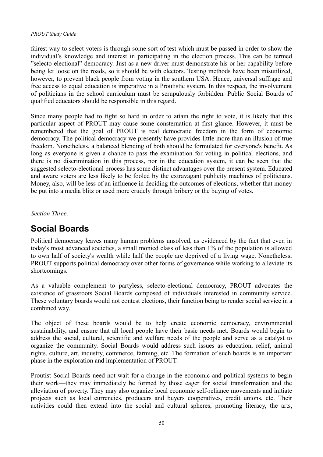fairest way to select voters is through some sort of test which must be passed in order to show the individual's knowledge and interest in participating in the election process. This can be termed "selecto-electional" democracy. Just as a new driver must demonstrate his or her capability before being let loose on the roads, so it should be with electors. Testing methods have been misutilized, however, to prevent black people from voting in the southern USA. Hence, universal suffrage and free access to equal education is imperative in a Proutistic system. In this respect, the involvement of politicians in the school curriculum must be scrupulously forbidden. Public Social Boards of qualified educators should be responsible in this regard.

Since many people had to fight so hard in order to attain the right to vote, it is likely that this particular aspect of PROUT may cause some consternation at first glance. However, it must be remembered that the goal of PROUT is real democratic freedom in the form of economic democracy. The political democracy we presently have provides little more than an illusion of true freedom. Nonetheless, a balanced blending of both should be formulated for everyone's benefit. As long as everyone is given a chance to pass the examination for voting in political elections, and there is no discrimination in this process, nor in the education system, it can be seen that the suggested selecto-electional process has some distinct advantages over the present system. Educated and aware voters are less likely to be fooled by the extravagant publicity machines of politicians. Money, also, will be less of an influence in deciding the outcomes of elections, whether that money be put into a media blitz or used more crudely through bribery or the buying of votes.

*Section Three:*

# **Social Boards**

Political democracy leaves many human problems unsolved, as evidenced by the fact that even in today's most advanced societies, a small monied class of less than 1% of the population is allowed to own half of society's wealth while half the people are deprived of a living wage. Nonetheless, PROUT supports political democracy over other forms of governance while working to alleviate its shortcomings.

As a valuable complement to partyless, selecto-electional democracy, PROUT advocates the existence of grassroots Social Boards composed of individuals interested in community service. These voluntary boards would not contest elections, their function being to render social service in a combined way.

The object of these boards would be to help create economic democracy, environmental sustainability, and ensure that all local people have their basic needs met. Boards would begin to address the social, cultural, scientific and welfare needs of the people and serve as a catalyst to organize the community. Social Boards would address such issues as education, relief, animal rights, culture, art, industry, commerce, farming, etc. The formation of such boards is an important phase in the exploration and implementation of PROUT.

Proutist Social Boards need not wait for a change in the economic and political systems to begin their work—they may immediately be formed by those eager for social transformation and the alleviation of poverty. They may also organize local economic self-reliance movements and initiate projects such as local currencies, producers and buyers cooperatives, credit unions, etc. Their activities could then extend into the social and cultural spheres, promoting literacy, the arts,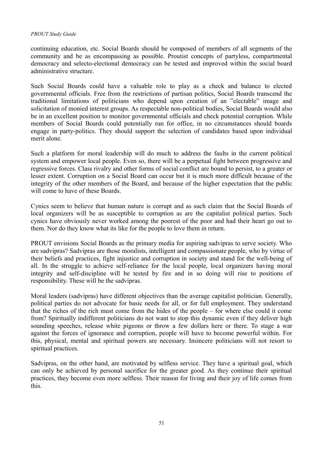continuing education, etc. Social Boards should be composed of members of all segments of the community and be as encompassing as possible. Proutist concepts of partyless, compartmental democracy and selecto-electional democracy can be tested and improved within the social board administrative structure.

Such Social Boards could have a valuable role to play as a check and balance to elected governmental officials. Free from the restrictions of partisan politics, Social Boards transcend the traditional limitations of politicians who depend upon creation of an "electable" image and solicitation of monied interest groups. As respectable non-political bodies, Social Boards would also be in an excellent position to monitor governmental officials and check potential corruption. While members of Social Boards could potentially run for office, in no circumstances should boards engage in party-politics. They should support the selection of candidates based upon individual merit alone.

Such a platform for moral leadership will do much to address the faults in the current political system and empower local people. Even so, there will be a perpetual fight between progressive and regressive forces. Class rivalry and other forms of social conflict are bound to persist, to a greater or lesser extent. Corruption on a Social Board can occur but it is much more difficult because of the integrity of the other members of the Board, and because of the higher expectation that the public will come to have of these Boards.

Cynics seem to believe that human nature is corrupt and as such claim that the Social Boards of local organizers will be as susceptible to corruption as are the capitalist political parties. Such cynics have obviously never worked among the poorest of the poor and had their heart go out to them. Nor do they know what its like for the people to love them in return.

PROUT envisions Social Boards as the primary media for aspiring sadvipras to serve society. Who are sadvipras? Sadvipras are those moralists, intelligent and compassionate people, who by virtue of their beliefs and practices, fight injustice and corruption in society and stand for the well-being of all. In the struggle to achieve self-reliance for the local people, local organizers having moral integrity and self-discipline will be tested by fire and in so doing will rise to positions of responsibility. These will be the sadvipras.

Moral leaders (sadvipras) have different objectives than the average capitalist politician. Generally, political parties do not advocate for basic needs for all, or for full employment. They understand that the riches of the rich must come from the hides of the people – for where else could it come from? Spiritually indifferent politicians do not want to stop this dynamic even if they deliver high sounding speeches, release white pigeons or throw a few dollars here or there. To stage a war against the forces of ignorance and corruption, people will have to become powerful within. For this, physical, mental and spiritual powers are necessary. Insincere politicians will not resort to spiritual practices.

Sadvipras, on the other hand, are motivated by selfless service. They have a spiritual goal, which can only be achieved by personal sacrifice for the greater good. As they continue their spiritual practices, they become even more selfless. Their reason for living and their joy of life comes from this.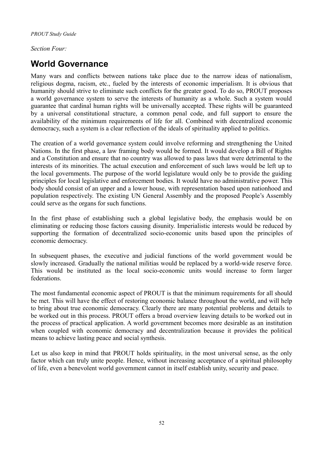*Section Four:*

# **World Governance**

Many wars and conflicts between nations take place due to the narrow ideas of nationalism, religious dogma, racism, etc., fueled by the interests of economic imperialism. It is obvious that humanity should strive to eliminate such conflicts for the greater good. To do so, PROUT proposes a world governance system to serve the interests of humanity as a whole. Such a system would guarantee that cardinal human rights will be universally accepted. These rights will be guaranteed by a universal constitutional structure, a common penal code, and full support to ensure the availability of the minimum requirements of life for all. Combined with decentralized economic democracy, such a system is a clear reflection of the ideals of spirituality applied to politics.

The creation of a world governance system could involve reforming and strengthening the United Nations. In the first phase, a law framing body would be formed. It would develop a Bill of Rights and a Constitution and ensure that no country was allowed to pass laws that were detrimental to the interests of its minorities. The actual execution and enforcement of such laws would be left up to the local governments. The purpose of the world legislature would only be to provide the guiding principles for local legislative and enforcement bodies. It would have no administrative power. This body should consist of an upper and a lower house, with representation based upon nationhood and population respectively. The existing UN General Assembly and the proposed People's Assembly could serve as the organs for such functions.

In the first phase of establishing such a global legislative body, the emphasis would be on eliminating or reducing those factors causing disunity. Imperialistic interests would be reduced by supporting the formation of decentralized socio-economic units based upon the principles of economic democracy.

In subsequent phases, the executive and judicial functions of the world government would be slowly increased. Gradually the national militias would be replaced by a world-wide reserve force. This would be instituted as the local socio-economic units would increase to form larger federations.

The most fundamental economic aspect of PROUT is that the minimum requirements for all should be met. This will have the effect of restoring economic balance throughout the world, and will help to bring about true economic democracy. Clearly there are many potential problems and details to be worked out in this process. PROUT offers a broad overview leaving details to be worked out in the process of practical application. A world government becomes more desirable as an institution when coupled with economic democracy and decentralization because it provides the political means to achieve lasting peace and social synthesis.

Let us also keep in mind that PROUT holds spirituality, in the most universal sense, as the only factor which can truly unite people. Hence, without increasing acceptance of a spiritual philosophy of life, even a benevolent world government cannot in itself establish unity, security and peace.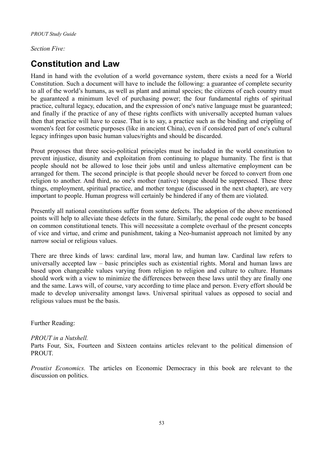*Section Five:*

# **Constitution and Law**

Hand in hand with the evolution of a world governance system, there exists a need for a World Constitution. Such a document will have to include the following: a guarantee of complete security to all of the world's humans, as well as plant and animal species; the citizens of each country must be guaranteed a minimum level of purchasing power; the four fundamental rights of spiritual practice, cultural legacy, education, and the expression of one's native language must be guaranteed; and finally if the practice of any of these rights conflicts with universally accepted human values then that practice will have to cease. That is to say, a practice such as the binding and crippling of women's feet for cosmetic purposes (like in ancient China), even if considered part of one's cultural legacy infringes upon basic human values/rights and should be discarded.

Prout proposes that three socio-political principles must be included in the world constitution to prevent injustice, disunity and exploitation from continuing to plague humanity. The first is that people should not be allowed to lose their jobs until and unless alternative employment can be arranged for them. The second principle is that people should never be forced to convert from one religion to another. And third, no one's mother (native) tongue should be suppressed. These three things, employment, spiritual practice, and mother tongue (discussed in the next chapter), are very important to people. Human progress will certainly be hindered if any of them are violated.

Presently all national constitutions suffer from some defects. The adoption of the above mentioned points will help to alleviate these defects in the future. Similarly, the penal code ought to be based on common constitutional tenets. This will necessitate a complete overhaul of the present concepts of vice and virtue, and crime and punishment, taking a Neo-humanist approach not limited by any narrow social or religious values.

There are three kinds of laws: cardinal law, moral law, and human law. Cardinal law refers to universally accepted law – basic principles such as existential rights. Moral and human laws are based upon changeable values varying from religion to religion and culture to culture. Humans should work with a view to minimize the differences between these laws until they are finally one and the same. Laws will, of course, vary according to time place and person. Every effort should be made to develop universality amongst laws. Universal spiritual values as opposed to social and religious values must be the basis.

Further Reading:

### *PROUT in a Nutshell.*

Parts Four, Six, Fourteen and Sixteen contains articles relevant to the political dimension of PROUT.

*Proutist Economics.* The articles on Economic Democracy in this book are relevant to the discussion on politics.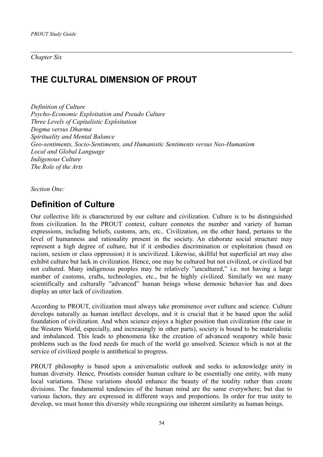### *Chapter Six*

# **THE CULTURAL DIMENSION OF PROUT**

*Definition of Culture Psycho-Economic Exploitation and Pseudo Culture Three Levels of Capitalistic Exploitation Dogma versus Dharma Spirituality and Mental Balance Geo-sentiments, Socio-Sentiments, and Humanistic Sentiments versus Neo-Humanism Local and Global Language Indigenous Culture The Role of the Arts*

*Section One:*

# **Definition of Culture**

Our collective life is characterized by our culture and civilization. Culture is to be distinguished from civilization. In the PROUT context, culture connotes the number and variety of human expressions, including beliefs, customs, arts, etc.. Civilization, on the other hand, pertains to the level of humanness and rationality present in the society. An elaborate social structure may represent a high degree of culture, but if it embodies discrimination or exploitation (based on racism, sexism or class oppression) it is uncivilized. Likewise, skillful but superficial art may also exhibit culture but lack in civilization. Hence, one may be cultured but not civilized, or civilized but not cultured. Many indigenous peoples may be relatively "uncultured," i.e. not having a large number of customs, crafts, technologies, etc., but be highly civilized. Similarly we see many scientifically and culturally "advanced" human beings whose demonic behavior has and does display an utter lack of civilization.

According to PROUT, civilization must always take prominence over culture and science. Culture develops naturally as human intellect develops, and it is crucial that it be based upon the solid foundation of civilization. And when science enjoys a higher position than civilization (the case in the Western World, especially, and increasingly in other parts), society is bound to be materialistic and imbalanced. This leads to phenomena like the creation of advanced weaponry while basic problems such as the food needs for much of the world go unsolved. Science which is not at the service of civilized people is antithetical to progress.

PROUT philosophy is based upon a universalistic outlook and seeks to acknowledge unity in human diversity. Hence, Proutists consider human culture to be essentially one entity, with many local variations. These variations should enhance the beauty of the totality rather than create divisions. The fundamental tendencies of the human mind are the same everywhere; but due to various factors, they are expressed in different ways and proportions. In order for true unity to develop, we must honor this diversity while recognizing our inherent similarity as human beings.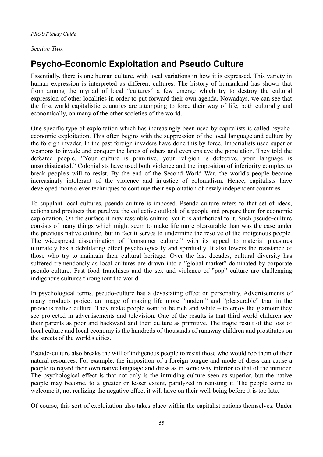*Section Two:*

# **Psycho-Economic Exploitation and Pseudo Culture**

Essentially, there is one human culture, with local variations in how it is expressed. This variety in human expression is interpreted as different cultures. The history of humankind has shown that from among the myriad of local "cultures" a few emerge which try to destroy the cultural expression of other localities in order to put forward their own agenda. Nowadays, we can see that the first world capitalistic countries are attempting to force their way of life, both culturally and economically, on many of the other societies of the world.

One specific type of exploitation which has increasingly been used by capitalists is called psychoeconomic exploitation. This often begins with the suppression of the local language and culture by the foreign invader. In the past foreign invaders have done this by force. Imperialists used superior weapons to invade and conquer the lands of others and even enslave the population. They told the defeated people, "Your culture is primitive, your religion is defective, your language is unsophisticated." Colonialists have used both violence and the imposition of inferiority complex to break people's will to resist. By the end of the Second World War, the world's people became increasingly intolerant of the violence and injustice of colonialism. Hence, capitalists have developed more clever techniques to continue their exploitation of newly independent countries.

To supplant local cultures, pseudo-culture is imposed. Pseudo-culture refers to that set of ideas, actions and products that paralyze the collective outlook of a people and prepare them for economic exploitation. On the surface it may resemble culture, yet it is antithetical to it. Such pseudo-culture consists of many things which might seem to make life more pleasurable than was the case under the previous native culture, but in fact it serves to undermine the resolve of the indigenous people. The widespread dissemination of "consumer culture," with its appeal to material pleasures ultimately has a debilitating effect psychologically and spiritually. It also lowers the resistance of those who try to maintain their cultural heritage. Over the last decades, cultural diversity has suffered tremendously as local cultures are drawn into a "global market" dominated by corporate pseudo-culture. Fast food franchises and the sex and violence of "pop" culture are challenging indigenous cultures throughout the world.

In psychological terms, pseudo-culture has a devastating effect on personality. Advertisements of many products project an image of making life more "modern" and "pleasurable" than in the previous native culture. They make people want to be rich and white – to enjoy the glamour they see projected in advertisements and television. One of the results is that third world children see their parents as poor and backward and their culture as primitive. The tragic result of the loss of local culture and local economy is the hundreds of thousands of runaway children and prostitutes on the streets of the world's cities.

Pseudo-culture also breaks the will of indigenous people to resist those who would rob them of their natural resources. For example, the imposition of a foreign tongue and mode of dress can cause a people to regard their own native language and dress as in some way inferior to that of the intruder. The psychological effect is that not only is the intruding culture seen as superior, but the native people may become, to a greater or lesser extent, paralyzed in resisting it. The people come to welcome it, not realizing the negative effect it will have on their well-being before it is too late.

Of course, this sort of exploitation also takes place within the capitalist nations themselves. Under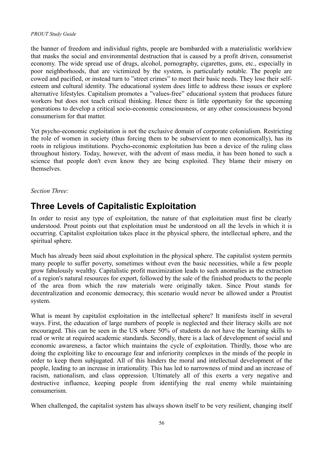the banner of freedom and individual rights, people are bombarded with a materialistic worldview that masks the social and environmental destruction that is caused by a profit driven, consumerist economy. The wide spread use of drugs, alcohol, pornography, cigarettes, guns, etc., especially in poor neighborhoods, that are victimized by the system, is particularly notable. The people are cowed and pacified, or instead turn to "street crimes" to meet their basic needs. They lose their selfesteem and cultural identity. The educational system does little to address these issues or explore alternative lifestyles. Capitalism promotes a "values-free" educational system that produces future workers but does not teach critical thinking. Hence there is little opportunity for the upcoming generations to develop a critical socio-economic consciousness, or any other consciousness beyond consumerism for that matter.

Yet psycho-economic exploitation is not the exclusive domain of corporate colonialism. Restricting the role of women in society (thus forcing them to be subservient to men economically), has its roots in religious institutions. Psycho-economic exploitation has been a device of the ruling class throughout history. Today, however, with the advent of mass media, it has been honed to such a science that people don't even know they are being exploited. They blame their misery on themselves.

## *Section Three:*

# **Three Levels of Capitalistic Exploitation**

In order to resist any type of exploitation, the nature of that exploitation must first be clearly understood. Prout points out that exploitation must be understood on all the levels in which it is occurring. Capitalist exploitation takes place in the physical sphere, the intellectual sphere, and the spiritual sphere.

Much has already been said about exploitation in the physical sphere. The capitalist system permits many people to suffer poverty, sometimes without even the basic necessities, while a few people grow fabulously wealthy. Capitalistic profit maximization leads to such anomalies as the extraction of a region's natural resources for export, followed by the sale of the finished products to the people of the area from which the raw materials were originally taken. Since Prout stands for decentralization and economic democracy, this scenario would never be allowed under a Proutist system.

What is meant by capitalist exploitation in the intellectual sphere? It manifests itself in several ways. First, the education of large numbers of people is neglected and their literacy skills are not encouraged. This can be seen in the US where 50% of students do not have the learning skills to read or write at required academic standards. Secondly, there is a lack of development of social and economic awareness, a factor which maintains the cycle of exploitation. Thirdly, those who are doing the exploiting like to encourage fear and inferiority complexes in the minds of the people in order to keep them subjugated. All of this hinders the moral and intellectual development of the people, leading to an increase in irrationality. This has led to narrowness of mind and an increase of racism, nationalism, and class oppression. Ultimately all of this exerts a very negative and destructive influence, keeping people from identifying the real enemy while maintaining consumerism.

When challenged, the capitalist system has always shown itself to be very resilient, changing itself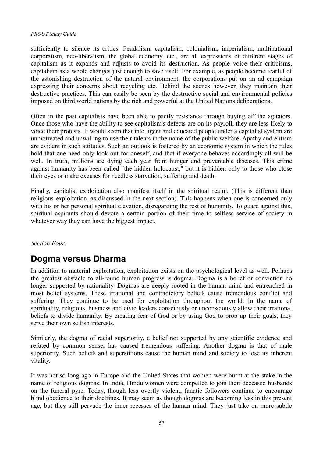sufficiently to silence its critics. Feudalism, capitalism, colonialism, imperialism, multinational corporatism, neo-liberalism, the global economy, etc., are all expressions of different stages of capitalism as it expands and adjusts to avoid its destruction. As people voice their criticisms, capitalism as a whole changes just enough to save itself. For example, as people become fearful of the astonishing destruction of the natural environment, the corporations put on an ad campaign expressing their concerns about recycling etc. Behind the scenes however, they maintain their destructive practices. This can easily be seen by the destructive social and environmental policies imposed on third world nations by the rich and powerful at the United Nations deliberations.

Often in the past capitalists have been able to pacify resistance through buying off the agitators. Once those who have the ability to see capitalism's defects are on its payroll, they are less likely to voice their protests. It would seem that intelligent and educated people under a capitalist system are unmotivated and unwilling to use their talents in the name of the public welfare. Apathy and elitism are evident in such attitudes. Such an outlook is fostered by an economic system in which the rules hold that one need only look out for oneself, and that if everyone behaves accordingly all will be well. In truth, millions are dying each year from hunger and preventable diseases. This crime against humanity has been called "the hidden holocaust," but it is hidden only to those who close their eyes or make excuses for needless starvation, suffering and death.

Finally, capitalist exploitation also manifest itself in the spiritual realm. (This is different than religious exploitation, as discussed in the next section). This happens when one is concerned only with his or her personal spiritual elevation, disregarding the rest of humanity. To guard against this, spiritual aspirants should devote a certain portion of their time to selfless service of society in whatever way they can have the biggest impact.

### *Section Four:*

## **Dogma versus Dharma**

In addition to material exploitation, exploitation exists on the psychological level as well. Perhaps the greatest obstacle to all-round human progress is dogma. Dogma is a belief or conviction no longer supported by rationality. Dogmas are deeply rooted in the human mind and entrenched in most belief systems. These irrational and contradictory beliefs cause tremendous conflict and suffering. They continue to be used for exploitation throughout the world. In the name of spirituality, religious, business and civic leaders consciously or unconsciously allow their irrational beliefs to divide humanity. By creating fear of God or by using God to prop up their goals, they serve their own selfish interests.

Similarly, the dogma of racial superiority, a belief not supported by any scientific evidence and refuted by common sense, has caused tremendous suffering. Another dogma is that of male superiority. Such beliefs and superstitions cause the human mind and society to lose its inherent vitality.

It was not so long ago in Europe and the United States that women were burnt at the stake in the name of religious dogmas. In India, Hindu women were compelled to join their deceased husbands on the funeral pyre. Today, though less overtly violent, fanatic followers continue to encourage blind obedience to their doctrines. It may seem as though dogmas are becoming less in this present age, but they still pervade the inner recesses of the human mind. They just take on more subtle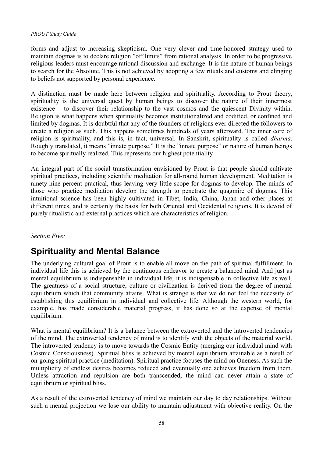forms and adjust to increasing skepticism. One very clever and time-honored strategy used to maintain dogmas is to declare religion "off limits" from rational analysis. In order to be progressive religious leaders must encourage rational discussion and exchange. It is the nature of human beings to search for the Absolute. This is not achieved by adopting a few rituals and customs and clinging to beliefs not supported by personal experience.

A distinction must be made here between religion and spirituality. According to Prout theory, spirituality is the universal quest by human beings to discover the nature of their innermost existence – to discover their relationship to the vast cosmos and the quiescent Divinity within. Religion is what happens when spirituality becomes institutionalized and codified, or confined and limited by dogmas. It is doubtful that any of the founders of religions ever directed the followers to create a religion as such. This happens sometimes hundreds of years afterward. The inner core of religion is spirituality, and this is, in fact, universal. In Sanskrit, spirituality is called *dharma*. Roughly translated, it means "innate purpose." It is the "innate purpose" or nature of human beings to become spiritually realized. This represents our highest potentiality.

An integral part of the social transformation envisioned by Prout is that people should cultivate spiritual practices, including scientific meditation for all-round human development. Meditation is ninety-nine percent practical, thus leaving very little scope for dogmas to develop. The minds of those who practice meditation develop the strength to penetrate the quagmire of dogmas. This intuitional science has been highly cultivated in Tibet, India, China, Japan and other places at different times, and is certainly the basis for both Oriental and Occidental religions. It is devoid of purely ritualistic and external practices which are characteristics of religion.

## *Section Five:*

# **Spirituality and Mental Balance**

The underlying cultural goal of Prout is to enable all move on the path of spiritual fulfillment. In individual life this is achieved by the continuous endeavor to create a balanced mind. And just as mental equilibrium is indispensable in individual life, it is indispensable in collective life as well. The greatness of a social structure, culture or civilization is derived from the degree of mental equilibrium which that community attains. What is strange is that we do not feel the necessity of establishing this equilibrium in individual and collective life. Although the western world, for example, has made considerable material progress, it has done so at the expense of mental equilibrium.

What is mental equilibrium? It is a balance between the extroverted and the introverted tendencies of the mind. The extroverted tendency of mind is to identify with the objects of the material world. The introverted tendency is to move towards the Cosmic Entity (merging our individual mind with Cosmic Consciousness). Spiritual bliss is achieved by mental equilibrium attainable as a result of on-going spiritual practice (meditation). Spiritual practice focuses the mind on Oneness. As such the multiplicity of endless desires becomes reduced and eventually one achieves freedom from them. Unless attraction and repulsion are both transcended, the mind can never attain a state of equilibrium or spiritual bliss.

As a result of the extroverted tendency of mind we maintain our day to day relationships. Without such a mental projection we lose our ability to maintain adjustment with objective reality. On the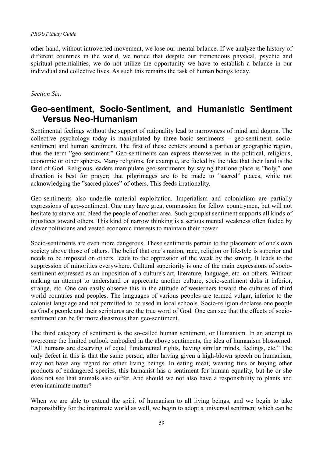other hand, without introverted movement, we lose our mental balance. If we analyze the history of different countries in the world, we notice that despite our tremendous physical, psychic and spiritual potentialities, we do not utilize the opportunity we have to establish a balance in our individual and collective lives. As such this remains the task of human beings today.

### *Section Six:*

## **Geo-sentiment, Socio-Sentiment, and Humanistic Sentiment Versus Neo-Humanism**

Sentimental feelings without the support of rationality lead to narrowness of mind and dogma. The collective psychology today is manipulated by three basic sentiments – geo-sentiment, sociosentiment and human sentiment. The first of these centers around a particular geographic region, thus the term "geo-sentiment." Geo-sentiments can express themselves in the political, religious, economic or other spheres. Many religions, for example, are fueled by the idea that their land is the land of God. Religious leaders manipulate geo-sentiments by saying that one place is "holy," one direction is best for prayer; that pilgrimages are to be made to "sacred" places, while not acknowledging the "sacred places" of others. This feeds irrationality.

Geo-sentiments also underlie material exploitation. Imperialism and colonialism are partially expressions of geo-sentiment. One may have great compassion for fellow countrymen, but will not hesitate to starve and bleed the people of another area. Such groupist sentiment supports all kinds of injustices toward others. This kind of narrow thinking is a serious mental weakness often fueled by clever politicians and vested economic interests to maintain their power.

Socio-sentiments are even more dangerous. These sentiments pertain to the placement of one's own society above those of others. The belief that one's nation, race, religion or lifestyle is superior and needs to be imposed on others, leads to the oppression of the weak by the strong. It leads to the suppression of minorities everywhere. Cultural superiority is one of the main expressions of sociosentiment expressed as an imposition of a culture's art, literature, language, etc. on others. Without making an attempt to understand or appreciate another culture, socio-sentiment dubs it inferior, strange, etc. One can easily observe this in the attitude of westerners toward the cultures of third world countries and peoples. The languages of various peoples are termed vulgar, inferior to the colonist language and not permitted to be used in local schools. Socio-religion declares one people as God's people and their scriptures are the true word of God. One can see that the effects of sociosentiment can be far more disastrous than geo-sentiment.

The third category of sentiment is the so-called human sentiment, or Humanism. In an attempt to overcome the limited outlook embodied in the above sentiments, the idea of humanism blossomed. "All humans are deserving of equal fundamental rights, having similar minds, feelings, etc." The only defect in this is that the same person, after having given a high-blown speech on humanism, may not have any regard for other living beings. In eating meat, wearing furs or buying other products of endangered species, this humanist has a sentiment for human equality, but he or she does not see that animals also suffer. And should we not also have a responsibility to plants and even inanimate matter?

When we are able to extend the spirit of humanism to all living beings, and we begin to take responsibility for the inanimate world as well, we begin to adopt a universal sentiment which can be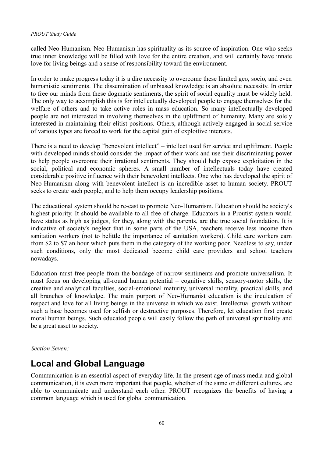called Neo-Humanism. Neo-Humanism has spirituality as its source of inspiration. One who seeks true inner knowledge will be filled with love for the entire creation, and will certainly have innate love for living beings and a sense of responsibility toward the environment.

In order to make progress today it is a dire necessity to overcome these limited geo, socio, and even humanistic sentiments. The dissemination of unbiased knowledge is an absolute necessity. In order to free our minds from these dogmatic sentiments, the spirit of social equality must be widely held. The only way to accomplish this is for intellectually developed people to engage themselves for the welfare of others and to take active roles in mass education. So many intellectually developed people are not interested in involving themselves in the upliftment of humanity. Many are solely interested in maintaining their elitist positions. Others, although actively engaged in social service of various types are forced to work for the capital gain of exploitive interests.

There is a need to develop "benevolent intellect" – intellect used for service and upliftment. People with developed minds should consider the impact of their work and use their discriminating power to help people overcome their irrational sentiments. They should help expose exploitation in the social, political and economic spheres. A small number of intellectuals today have created considerable positive influence with their benevolent intellects. One who has developed the spirit of Neo-Humanism along with benevolent intellect is an incredible asset to human society. PROUT seeks to create such people, and to help them occupy leadership positions.

The educational system should be re-cast to promote Neo-Humanism. Education should be society's highest priority. It should be available to all free of charge. Educators in a Proutist system would have status as high as judges, for they, along with the parents, are the true social foundation. It is indicative of society's neglect that in some parts of the USA, teachers receive less income than sanitation workers (not to belittle the importance of sanitation workers). Child care workers earn from \$2 to \$7 an hour which puts them in the category of the working poor. Needless to say, under such conditions, only the most dedicated become child care providers and school teachers nowadays.

Education must free people from the bondage of narrow sentiments and promote universalism. It must focus on developing all-round human potential – cognitive skills, sensory-motor skills, the creative and analytical faculties, social-emotional maturity, universal morality, practical skills, and all branches of knowledge. The main purport of Neo-Humanist education is the inculcation of respect and love for all living beings in the universe in which we exist. Intellectual growth without such a base becomes used for selfish or destructive purposes. Therefore, let education first create moral human beings. Such educated people will easily follow the path of universal spirituality and be a great asset to society.

### *Section Seven:*

# **Local and Global Language**

Communication is an essential aspect of everyday life. In the present age of mass media and global communication, it is even more important that people, whether of the same or different cultures, are able to communicate and understand each other. PROUT recognizes the benefits of having a common language which is used for global communication.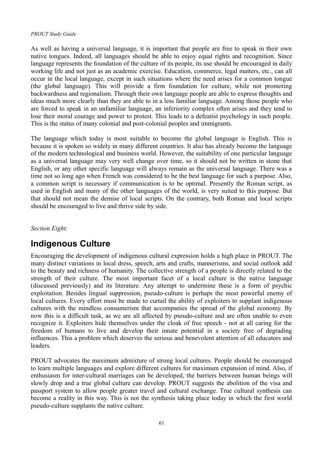As well as having a universal language, it is important that people are free to speak in their own native tongues. Indeed, all languages should be able to enjoy equal rights and recognition. Since language represents the foundation of the culture of its people, its use should be encouraged in daily working life and not just as an academic exercise. Education, commerce, legal matters, etc., can all occur in the local language, except in such situations where the need arises for a common tongue (the global language). This will provide a firm foundation for culture, while not promoting backwardness and regionalism. Through their own language people are able to express thoughts and ideas much more clearly than they are able to in a less familiar language. Among those people who are forced to speak in an unfamiliar language, an inferiority complex often arises and they tend to lose their moral courage and power to protest. This leads to a defeatist psychology in such people. This is the status of many colonial and post-colonial peoples and immigrants.

The language which today is most suitable to become the global language is English. This is because it is spoken so widely in many different countries. It also has already become the language of the modern technological and business world. However, the suitability of one particular language as a universal language may very well change over time, so it should not be written in stone that English, or any other specific language will always remain as the universal language. There was a time not so long ago when French was considered to be the best language for such a purpose. Also, a common script is necessary if communication is to be optimal. Presently the Roman script, as used in English and many of the other languages of the world, is very suited to this purpose. But that should not mean the demise of local scripts. On the contrary, both Roman and local scripts should be encouraged to live and thrive side by side.

*Section Eight:*

# **Indigenous Culture**

Encouraging the development of indigenous cultural expression holds a high place in PROUT. The many distinct variations in local dress, speech, arts and crafts, mannerisms, and social outlook add to the beauty and richness of humanity. The collective strength of a people is directly related to the strength of their culture. The most important facet of a local culture is the native language (discussed previously) and its literature. Any attempt to undermine these is a form of psychic exploitation. Besides lingual suppression, pseudo-culture is perhaps the most powerful enemy of local cultures. Every effort must be made to curtail the ability of exploiters to supplant indigenous cultures with the mindless consumerism that accompanies the spread of the global economy. By now this is a difficult task, as we are all affected by pseudo-culture and are often unable to even recognize it. Exploiters hide themselves under the cloak of free speech - not at all caring for the freedom of humans to live and develop their innate potential in a society free of degrading influences. This a problem which deserves the serious and benevolent attention of all educators and leaders.

PROUT advocates the maximum admixture of strong local cultures. People should be encouraged to learn multiple languages and explore different cultures for maximum expansion of mind. Also, if enthusiasm for inter-cultural marriages can be developed, the barriers between human beings will slowly drop and a true global culture can develop. PROUT suggests the abolition of the visa and passport system to allow people greater travel and cultural exchange. True cultural synthesis can become a reality in this way. This is not the synthesis taking place today in which the first world pseudo-culture supplants the native culture.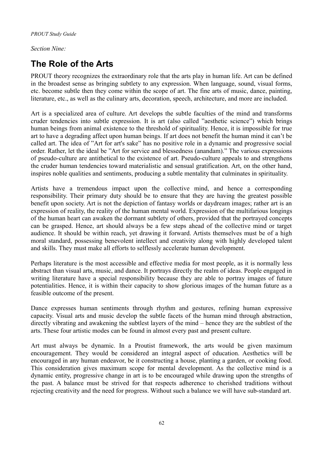*Section Nine:*

# **The Role of the Arts**

PROUT theory recognizes the extraordinary role that the arts play in human life. Art can be defined in the broadest sense as bringing subtlety to any expression. When language, sound, visual forms, etc. become subtle then they come within the scope of art. The fine arts of music, dance, painting, literature, etc., as well as the culinary arts, decoration, speech, architecture, and more are included.

Art is a specialized area of culture. Art develops the subtle faculties of the mind and transforms cruder tendencies into subtle expression. It is art (also called "aesthetic science") which brings human beings from animal existence to the threshold of spirituality. Hence, it is impossible for true art to have a degrading affect upon human beings. If art does not benefit the human mind it can't be called art. The idea of "Art for art's sake" has no positive role in a dynamic and progressive social order. Rather, let the ideal be "Art for service and blessedness (anandam)." The various expressions of pseudo-culture are antithetical to the existence of art. Pseudo-culture appeals to and strengthens the cruder human tendencies toward materialistic and sensual gratification. Art, on the other hand, inspires noble qualities and sentiments, producing a subtle mentality that culminates in spirituality.

Artists have a tremendous impact upon the collective mind, and hence a corresponding responsibility. Their primary duty should be to ensure that they are having the greatest possible benefit upon society. Art is not the depiction of fantasy worlds or daydream images; rather art is an expression of reality, the reality of the human mental world. Expression of the multifarious longings of the human heart can awaken the dormant subtlety of others, provided that the portrayed concepts can be grasped. Hence, art should always be a few steps ahead of the collective mind or target audience. It should be within reach, yet drawing it forward. Artists themselves must be of a high moral standard, possessing benevolent intellect and creativity along with highly developed talent and skills. They must make all efforts to selflessly accelerate human development.

Perhaps literature is the most accessible and effective media for most people, as it is normally less abstract than visual arts, music, and dance. It portrays directly the realm of ideas. People engaged in writing literature have a special responsibility because they are able to portray images of future potentialities. Hence, it is within their capacity to show glorious images of the human future as a feasible outcome of the present.

Dance expresses human sentiments through rhythm and gestures, refining human expressive capacity. Visual arts and music develop the subtle facets of the human mind through abstraction, directly vibrating and awakening the subtlest layers of the mind – hence they are the subtlest of the arts. These four artistic modes can be found in almost every past and present culture.

Art must always be dynamic. In a Proutist framework, the arts would be given maximum encouragement. They would be considered an integral aspect of education. Aesthetics will be encouraged in any human endeavor, be it constructing a house, planting a garden, or cooking food. This consideration gives maximum scope for mental development. As the collective mind is a dynamic entity, progressive change in art is to be encouraged while drawing upon the strengths of the past. A balance must be strived for that respects adherence to cherished traditions without rejecting creativity and the need for progress. Without such a balance we will have sub-standard art.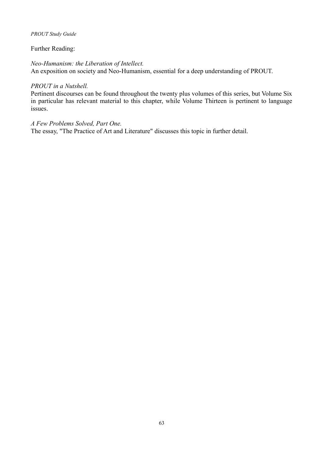### Further Reading:

*Neo-Humanism: the Liberation of Intellect.* An exposition on society and Neo-Humanism, essential for a deep understanding of PROUT.

### *PROUT in a Nutshell.*

Pertinent discourses can be found throughout the twenty plus volumes of this series, but Volume Six in particular has relevant material to this chapter, while Volume Thirteen is pertinent to language issues.

*A Few Problems Solved, Part One.*

The essay, "The Practice of Art and Literature" discusses this topic in further detail.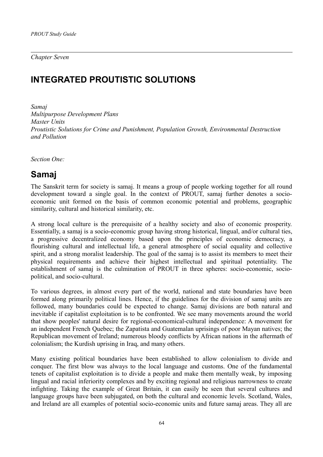*Chapter Seven*

# **INTEGRATED PROUTISTIC SOLUTIONS**

*Samaj Multipurpose Development Plans Master Units Proutistic Solutions for Crime and Punishment, Population Growth, Environmental Destruction and Pollution*

*Section One:*

# **Samaj**

The Sanskrit term for society is samaj. It means a group of people working together for all round development toward a single goal. In the context of PROUT, samaj further denotes a socioeconomic unit formed on the basis of common economic potential and problems, geographic similarity, cultural and historical similarity, etc.

A strong local culture is the prerequisite of a healthy society and also of economic prosperity. Essentially, a samaj is a socio-economic group having strong historical, lingual, and/or cultural ties, a progressive decentralized economy based upon the principles of economic democracy, a flourishing cultural and intellectual life, a general atmosphere of social equality and collective spirit, and a strong moralist leadership. The goal of the samaj is to assist its members to meet their physical requirements and achieve their highest intellectual and spiritual potentiality. The establishment of samaj is the culmination of PROUT in three spheres: socio-economic, sociopolitical, and socio-cultural.

To various degrees, in almost every part of the world, national and state boundaries have been formed along primarily political lines. Hence, if the guidelines for the division of samaj units are followed, many boundaries could be expected to change. Samaj divisions are both natural and inevitable if capitalist exploitation is to be confronted. We see many movements around the world that show peoples' natural desire for regional-economical-cultural independence: A movement for an independent French Quebec; the Zapatista and Guatemalan uprisings of poor Mayan natives; the Republican movement of Ireland; numerous bloody conflicts by African nations in the aftermath of colonialism; the Kurdish uprising in Iraq, and many others.

Many existing political boundaries have been established to allow colonialism to divide and conquer. The first blow was always to the local language and customs. One of the fundamental tenets of capitalist exploitation is to divide a people and make them mentally weak, by imposing lingual and racial inferiority complexes and by exciting regional and religious narrowness to create infighting. Taking the example of Great Britain, it can easily be seen that several cultures and language groups have been subjugated, on both the cultural and economic levels. Scotland, Wales, and Ireland are all examples of potential socio-economic units and future samaj areas. They all are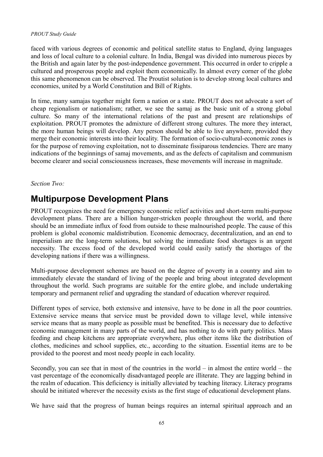faced with various degrees of economic and political satellite status to England, dying languages and loss of local culture to a colonial culture. In India, Bengal was divided into numerous pieces by the British and again later by the post-independence government. This occurred in order to cripple a cultured and prosperous people and exploit them economically. In almost every corner of the globe this same phenomenon can be observed. The Proutist solution is to develop strong local cultures and economies, united by a World Constitution and Bill of Rights.

In time, many samajas together might form a nation or a state. PROUT does not advocate a sort of cheap regionalism or nationalism; rather, we see the samaj as the basic unit of a strong global culture. So many of the international relations of the past and present are relationships of exploitation. PROUT promotes the admixture of different strong cultures. The more they interact, the more human beings will develop. Any person should be able to live anywhere, provided they merge their economic interests into their locality. The formation of socio-cultural-economic zones is for the purpose of removing exploitation, not to disseminate fissiparous tendencies. There are many indications of the beginnings of samaj movements, and as the defects of capitalism and communism become clearer and social consciousness increases, these movements will increase in magnitude.

## *Section Two:*

# **Multipurpose Development Plans**

PROUT recognizes the need for emergency economic relief activities and short-term multi-purpose development plans. There are a billion hunger-stricken people throughout the world, and there should be an immediate influx of food from outside to these malnourished people. The cause of this problem is global economic maldistribution. Economic democracy, decentralization, and an end to imperialism are the long-term solutions, but solving the immediate food shortages is an urgent necessity. The excess food of the developed world could easily satisfy the shortages of the developing nations if there was a willingness.

Multi-purpose development schemes are based on the degree of poverty in a country and aim to immediately elevate the standard of living of the people and bring about integrated development throughout the world. Such programs are suitable for the entire globe, and include undertaking temporary and permanent relief and upgrading the standard of education wherever required.

Different types of service, both extensive and intensive, have to be done in all the poor countries. Extensive service means that service must be provided down to village level, while intensive service means that as many people as possible must be benefited. This is necessary due to defective economic management in many parts of the world, and has nothing to do with party politics. Mass feeding and cheap kitchens are appropriate everywhere, plus other items like the distribution of clothes, medicines and school supplies, etc., according to the situation. Essential items are to be provided to the poorest and most needy people in each locality.

Secondly, you can see that in most of the countries in the world – in almost the entire world – the vast percentage of the economically disadvantaged people are illiterate. They are lagging behind in the realm of education. This deficiency is initially alleviated by teaching literacy. Literacy programs should be initiated wherever the necessity exists as the first stage of educational development plans.

We have said that the progress of human beings requires an internal spiritual approach and an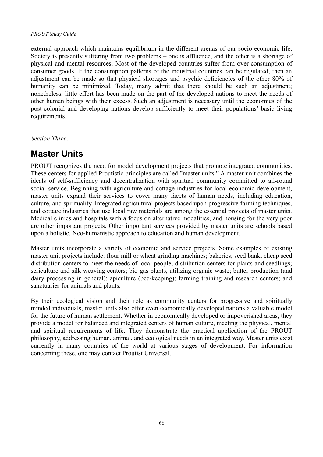external approach which maintains equilibrium in the different arenas of our socio-economic life. Society is presently suffering from two problems – one is affluence, and the other is a shortage of physical and mental resources. Most of the developed countries suffer from over-consumption of consumer goods. If the consumption patterns of the industrial countries can be regulated, then an adjustment can be made so that physical shortages and psychic deficiencies of the other 80% of humanity can be minimized. Today, many admit that there should be such an adjustment: nonetheless, little effort has been made on the part of the developed nations to meet the needs of other human beings with their excess. Such an adjustment is necessary until the economies of the post-colonial and developing nations develop sufficiently to meet their populations' basic living requirements.

*Section Three:*

# **Master Units**

PROUT recognizes the need for model development projects that promote integrated communities. These centers for applied Proutistic principles are called "master units." A master unit combines the ideals of self-sufficiency and decentralization with spiritual community committed to all-round social service. Beginning with agriculture and cottage industries for local economic development, master units expand their services to cover many facets of human needs, including education, culture, and spirituality. Integrated agricultural projects based upon progressive farming techniques, and cottage industries that use local raw materials are among the essential projects of master units. Medical clinics and hospitals with a focus on alternative modalities, and housing for the very poor are other important projects. Other important services provided by master units are schools based upon a holistic, Neo-humanistic approach to education and human development.

Master units incorporate a variety of economic and service projects. Some examples of existing master unit projects include: flour mill or wheat grinding machines; bakeries; seed bank; cheap seed distribution centers to meet the needs of local people; distribution centers for plants and seedlings; sericulture and silk weaving centers; bio-gas plants, utilizing organic waste; butter production (and dairy processing in general); apiculture (bee-keeping); farming training and research centers; and sanctuaries for animals and plants.

By their ecological vision and their role as community centers for progressive and spiritually minded individuals, master units also offer even economically developed nations a valuable model for the future of human settlement. Whether in economically developed or impoverished areas, they provide a model for balanced and integrated centers of human culture, meeting the physical, mental and spiritual requirements of life. They demonstrate the practical application of the PROUT philosophy, addressing human, animal, and ecological needs in an integrated way. Master units exist currently in many countries of the world at various stages of development. For information concerning these, one may contact Proutist Universal.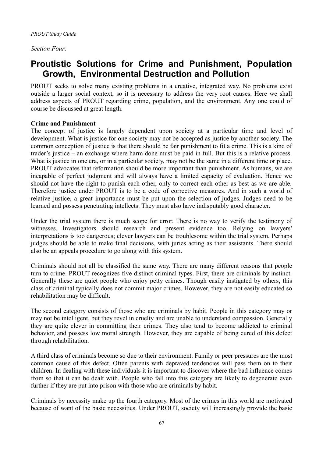*Section Four:*

# **Proutistic Solutions for Crime and Punishment, Population Growth, Environmental Destruction and Pollution**

PROUT seeks to solve many existing problems in a creative, integrated way. No problems exist outside a larger social context, so it is necessary to address the very root causes. Here we shall address aspects of PROUT regarding crime, population, and the environment. Any one could of course be discussed at great length.

### **Crime and Punishment**

The concept of justice is largely dependent upon society at a particular time and level of development. What is justice for one society may not be accepted as justice by another society. The common conception of justice is that there should be fair punishment to fit a crime. This is a kind of trader's justice – an exchange where harm done must be paid in full. But this is a relative process. What is justice in one era, or in a particular society, may not be the same in a different time or place. PROUT advocates that reformation should be more important than punishment. As humans, we are incapable of perfect judgment and will always have a limited capacity of evaluation. Hence we should not have the right to punish each other, only to correct each other as best as we are able. Therefore justice under PROUT is to be a code of corrective measures. And in such a world of relative justice, a great importance must be put upon the selection of judges. Judges need to be learned and possess penetrating intellects. They must also have indisputably good character.

Under the trial system there is much scope for error. There is no way to verify the testimony of witnesses. Investigators should research and present evidence too. Relying on lawyers' interpretations is too dangerous; clever lawyers can be troublesome within the trial system. Perhaps judges should be able to make final decisions, with juries acting as their assistants. There should also be an appeals procedure to go along with this system.

Criminals should not all be classified the same way. There are many different reasons that people turn to crime. PROUT recognizes five distinct criminal types. First, there are criminals by instinct. Generally these are quiet people who enjoy petty crimes. Though easily instigated by others, this class of criminal typically does not commit major crimes. However, they are not easily educated so rehabilitation may be difficult.

The second category consists of those who are criminals by habit. People in this category may or may not be intelligent, but they revel in cruelty and are unable to understand compassion. Generally they are quite clever in committing their crimes. They also tend to become addicted to criminal behavior, and possess low moral strength. However, they are capable of being cured of this defect through rehabilitation.

A third class of criminals become so due to their environment. Family or peer pressures are the most common cause of this defect. Often parents with depraved tendencies will pass them on to their children. In dealing with these individuals it is important to discover where the bad influence comes from so that it can be dealt with. People who fall into this category are likely to degenerate even further if they are put into prison with those who are criminals by habit.

Criminals by necessity make up the fourth category. Most of the crimes in this world are motivated because of want of the basic necessities. Under PROUT, society will increasingly provide the basic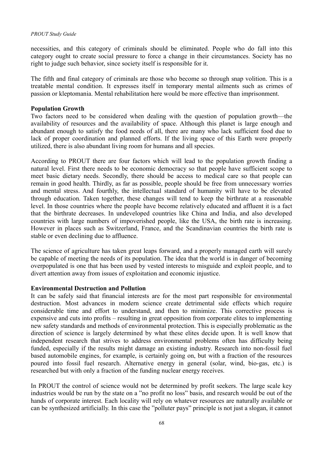necessities, and this category of criminals should be eliminated. People who do fall into this category ought to create social pressure to force a change in their circumstances. Society has no right to judge such behavior, since society itself is responsible for it.

The fifth and final category of criminals are those who become so through snap volition. This is a treatable mental condition. It expresses itself in temporary mental ailments such as crimes of passion or kleptomania. Mental rehabilitation here would be more effective than imprisonment.

### **Population Growth**

Two factors need to be considered when dealing with the question of population growth—the availability of resources and the availability of space. Although this planet is large enough and abundant enough to satisfy the food needs of all, there are many who lack sufficient food due to lack of proper coordination and planned efforts. If the living space of this Earth were properly utilized, there is also abundant living room for humans and all species.

According to PROUT there are four factors which will lead to the population growth finding a natural level. First there needs to be economic democracy so that people have sufficient scope to meet basic dietary needs. Secondly, there should be access to medical care so that people can remain in good health. Thirdly, as far as possible, people should be free from unnecessary worries and mental stress. And fourthly, the intellectual standard of humanity will have to be elevated through education. Taken together, these changes will tend to keep the birthrate at a reasonable level. In those countries where the people have become relatively educated and affluent it is a fact that the birthrate decreases. In undeveloped countries like China and India, and also developed countries with large numbers of impoverished people, like the USA, the birth rate is increasing. However in places such as Switzerland, France, and the Scandinavian countries the birth rate is stable or even declining due to affluence.

The science of agriculture has taken great leaps forward, and a properly managed earth will surely be capable of meeting the needs of its population. The idea that the world is in danger of becoming overpopulated is one that has been used by vested interests to misguide and exploit people, and to divert attention away from issues of exploitation and economic injustice.

### **Environmental Destruction and Pollution**

It can be safely said that financial interests are for the most part responsible for environmental destruction. Most advances in modern science create detrimental side effects which require considerable time and effort to understand, and then to minimize. This corrective process is expensive and cuts into profits – resulting in great opposition from corporate elites to implementing new safety standards and methods of environmental protection. This is especially problematic as the direction of science is largely determined by what these elites decide upon. It is well know that independent research that strives to address environmental problems often has difficulty being funded, especially if the results might damage an existing industry. Research into non-fossil fuel based automobile engines, for example, is certainly going on, but with a fraction of the resources poured into fossil fuel research. Alternative energy in general (solar, wind, bio-gas, etc.) is researched but with only a fraction of the funding nuclear energy receives.

In PROUT the control of science would not be determined by profit seekers. The large scale key industries would be run by the state on a "no profit no loss" basis, and research would be out of the hands of corporate interest. Each locality will rely on whatever resources are naturally available or can be synthesized artificially. In this case the "polluter pays" principle is not just a slogan, it cannot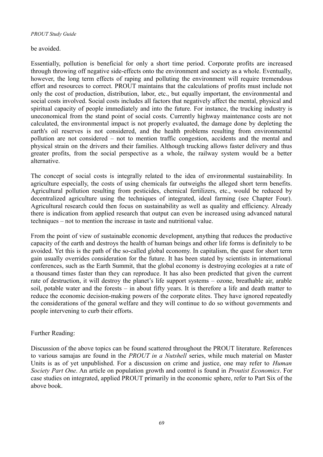be avoided.

Essentially, pollution is beneficial for only a short time period. Corporate profits are increased through throwing off negative side-effects onto the environment and society as a whole. Eventually, however, the long term effects of raping and polluting the environment will require tremendous effort and resources to correct. PROUT maintains that the calculations of profits must include not only the cost of production, distribution, labor, etc., but equally important, the environmental and social costs involved. Social costs includes all factors that negatively affect the mental, physical and spiritual capacity of people immediately and into the future. For instance, the trucking industry is uneconomical from the stand point of social costs. Currently highway maintenance costs are not calculated, the environmental impact is not properly evaluated, the damage done by depleting the earth's oil reserves is not considered, and the health problems resulting from environmental pollution are not considered – not to mention traffic congestion, accidents and the mental and physical strain on the drivers and their families. Although trucking allows faster delivery and thus greater profits, from the social perspective as a whole, the railway system would be a better alternative.

The concept of social costs is integrally related to the idea of environmental sustainability. In agriculture especially, the costs of using chemicals far outweighs the alleged short term benefits. Agricultural pollution resulting from pesticides, chemical fertilizers, etc., would be reduced by decentralized agriculture using the techniques of integrated, ideal farming (see Chapter Four). Agricultural research could then focus on sustainability as well as quality and efficiency. Already there is indication from applied research that output can even be increased using advanced natural techniques – not to mention the increase in taste and nutritional value.

From the point of view of sustainable economic development, anything that reduces the productive capacity of the earth and destroys the health of human beings and other life forms is definitely to be avoided. Yet this is the path of the so-called global economy. In capitalism, the quest for short term gain usually overrides consideration for the future. It has been stated by scientists in international conferences, such as the Earth Summit, that the global economy is destroying ecologies at a rate of a thousand times faster than they can reproduce. It has also been predicted that given the current rate of destruction, it will destroy the planet's life support systems – ozone, breathable air, arable soil, potable water and the forests – in about fifty years. It is therefore a life and death matter to reduce the economic decision-making powers of the corporate elites. They have ignored repeatedly the considerations of the general welfare and they will continue to do so without governments and people intervening to curb their efforts.

## Further Reading:

Discussion of the above topics can be found scattered throughout the PROUT literature. References to various samajas are found in the *PROUT in a Nutshell* series, while much material on Master Units is as of yet unpublished. For a discussion on crime and justice, one may refer to *Human Society Part One*. An article on population growth and control is found in *Proutist Economics*. For case studies on integrated, applied PROUT primarily in the economic sphere, refer to Part Six of the above book.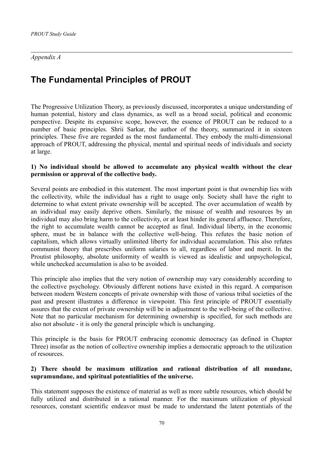### *Appendix A*

# **The Fundamental Principles of PROUT**

The Progressive Utilization Theory, as previously discussed, incorporates a unique understanding of human potential, history and class dynamics, as well as a broad social, political and economic perspective. Despite its expansive scope, however, the essence of PROUT can be reduced to a number of basic principles. Shrii Sarkar, the author of the theory, summarized it in sixteen principles. These five are regarded as the most fundamental. They embody the multi-dimensional approach of PROUT, addressing the physical, mental and spiritual needs of individuals and society at large.

### **1) No individual should be allowed to accumulate any physical wealth without the clear permission or approval of the collective body.**

Several points are embodied in this statement. The most important point is that ownership lies with the collectivity, while the individual has a right to usage only. Society shall have the right to determine to what extent private ownership will be accepted. The over accumulation of wealth by an individual may easily deprive others. Similarly, the misuse of wealth and resources by an individual may also bring harm to the collectivity, or at least hinder its general affluence. Therefore, the right to accumulate wealth cannot be accepted as final. Individual liberty, in the economic sphere, must be in balance with the collective well-being. This refutes the basic notion of capitalism, which allows virtually unlimited liberty for individual accumulation. This also refutes communist theory that prescribes uniform salaries to all, regardless of labor and merit. In the Proutist philosophy, absolute uniformity of wealth is viewed as idealistic and unpsychological, while unchecked accumulation is also to be avoided.

This principle also implies that the very notion of ownership may vary considerably according to the collective psychology. Obviously different notions have existed in this regard. A comparison between modern Western concepts of private ownership with those of various tribal societies of the past and present illustrates a difference in viewpoint. This first principle of PROUT essentially assures that the extent of private ownership will be in adjustment to the well-being of the collective. Note that no particular mechanism for determining ownership is specified, for such methods are also not absolute - it is only the general principle which is unchanging.

This principle is the basis for PROUT embracing economic democracy (as defined in Chapter Three) insofar as the notion of collective ownership implies a democratic approach to the utilization of resources.

### **2) There should be maximum utilization and rational distribution of all mundane, supramundane, and spiritual potentialities of the universe.**

This statement supposes the existence of material as well as more subtle resources, which should be fully utilized and distributed in a rational manner. For the maximum utilization of physical resources, constant scientific endeavor must be made to understand the latent potentials of the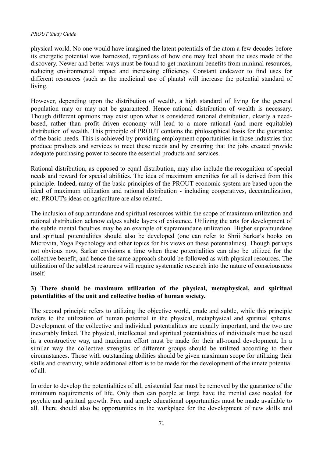physical world. No one would have imagined the latent potentials of the atom a few decades before its energetic potential was harnessed, regardless of how one may feel about the uses made of the discovery. Newer and better ways must be found to get maximum benefits from minimal resources, reducing environmental impact and increasing efficiency. Constant endeavor to find uses for different resources (such as the medicinal use of plants) will increase the potential standard of living.

However, depending upon the distribution of wealth, a high standard of living for the general population may or may not be guaranteed. Hence rational distribution of wealth is necessary. Though different opinions may exist upon what is considered rational distribution, clearly a needbased, rather than profit driven economy will lead to a more rational (and more equitable) distribution of wealth. This principle of PROUT contains the philosophical basis for the guarantee of the basic needs. This is achieved by providing employment opportunities in those industries that produce products and services to meet these needs and by ensuring that the jobs created provide adequate purchasing power to secure the essential products and services.

Rational distribution, as opposed to equal distribution, may also include the recognition of special needs and reward for special abilities. The idea of maximum amenities for all is derived from this principle. Indeed, many of the basic principles of the PROUT economic system are based upon the ideal of maximum utilization and rational distribution - including cooperatives, decentralization, etc. PROUT's ideas on agriculture are also related.

The inclusion of supramundane and spiritual resources within the scope of maximum utilization and rational distribution acknowledges subtle layers of existence. Utilizing the arts for development of the subtle mental faculties may be an example of supramundane utilization. Higher supramundane and spiritual potentialities should also be developed (one can refer to Shrii Sarkar's books on Microvita, Yoga Psychology and other topics for his views on these potentialities). Though perhaps not obvious now, Sarkar envisions a time when these potentialities can also be utilized for the collective benefit, and hence the same approach should be followed as with physical resources. The utilization of the subtlest resources will require systematic research into the nature of consciousness itself.

### **3) There should be maximum utilization of the physical, metaphysical, and spiritual potentialities of the unit and collective bodies of human society.**

The second principle refers to utilizing the objective world, crude and subtle, while this principle refers to the utilization of human potential in the physical, metaphysical and spiritual spheres. Development of the collective and individual potentialities are equally important, and the two are inexorably linked. The physical, intellectual and spiritual potentialities of individuals must be used in a constructive way, and maximum effort must be made for their all-round development. In a similar way the collective strengths of different groups should be utilized according to their circumstances. Those with outstanding abilities should be given maximum scope for utilizing their skills and creativity, while additional effort is to be made for the development of the innate potential of all.

In order to develop the potentialities of all, existential fear must be removed by the guarantee of the minimum requirements of life. Only then can people at large have the mental ease needed for psychic and spiritual growth. Free and ample educational opportunities must be made available to all. There should also be opportunities in the workplace for the development of new skills and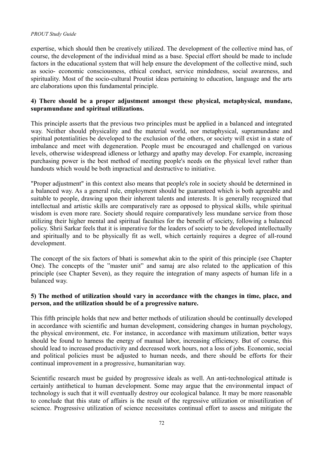expertise, which should then be creatively utilized. The development of the collective mind has, of course, the development of the individual mind as a base. Special effort should be made to include factors in the educational system that will help ensure the development of the collective mind, such as socio- economic consciousness, ethical conduct, service mindedness, social awareness, and spirituality. Most of the socio-cultural Proutist ideas pertaining to education, language and the arts are elaborations upon this fundamental principle.

### **4) There should be a proper adjustment amongst these physical, metaphysical, mundane, supramundane and spiritual utilizations.**

This principle asserts that the previous two principles must be applied in a balanced and integrated way. Neither should physicality and the material world, nor metaphysical, supramundane and spiritual potentialities be developed to the exclusion of the others, or society will exist in a state of imbalance and meet with degeneration. People must be encouraged and challenged on various levels, otherwise widespread idleness or lethargy and apathy may develop. For example, increasing purchasing power is the best method of meeting people's needs on the physical level rather than handouts which would be both impractical and destructive to initiative.

"Proper adjustment" in this context also means that people's role in society should be determined in a balanced way. As a general rule, employment should be guaranteed which is both agreeable and suitable to people, drawing upon their inherent talents and interests. It is generally recognized that intellectual and artistic skills are comparatively rare as opposed to physical skills, while spiritual wisdom is even more rare. Society should require comparatively less mundane service from those utilizing their higher mental and spiritual faculties for the benefit of society, following a balanced policy. Shrii Sarkar feels that it is imperative for the leaders of society to be developed intellectually and spiritually and to be physically fit as well, which certainly requires a degree of all-round development.

The concept of the six factors of bhati is somewhat akin to the spirit of this principle (see Chapter One). The concepts of the "master unit" and samaj are also related to the application of this principle (see Chapter Seven), as they require the integration of many aspects of human life in a balanced way.

### **5) The method of utilization should vary in accordance with the changes in time, place, and person, and the utilization should be of a progressive nature.**

This fifth principle holds that new and better methods of utilization should be continually developed in accordance with scientific and human development, considering changes in human psychology, the physical environment, etc. For instance, in accordance with maximum utilization, better ways should be found to harness the energy of manual labor, increasing efficiency. But of course, this should lead to increased productivity and decreased work hours, not a loss of jobs. Economic, social and political policies must be adjusted to human needs, and there should be efforts for their continual improvement in a progressive, humanitarian way.

Scientific research must be guided by progressive ideals as well. An anti-technological attitude is certainly antithetical to human development. Some may argue that the environmental impact of technology is such that it will eventually destroy our ecological balance. It may be more reasonable to conclude that this state of affairs is the result of the regressive utilization or misutilization of science. Progressive utilization of science necessitates continual effort to assess and mitigate the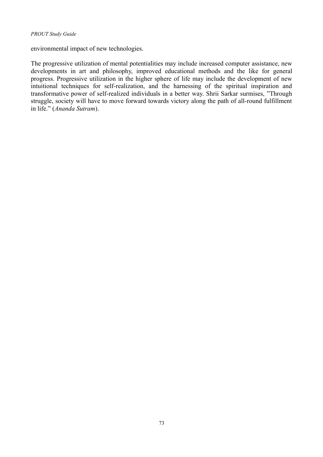#### *PROUT Study Guide*

environmental impact of new technologies.

The progressive utilization of mental potentialities may include increased computer assistance, new developments in art and philosophy, improved educational methods and the like for general progress. Progressive utilization in the higher sphere of life may include the development of new intuitional techniques for self-realization, and the harnessing of the spiritual inspiration and transformative power of self-realized individuals in a better way. Shrii Sarkar surmises, "Through struggle, society will have to move forward towards victory along the path of all-round fulfillment in life." (*Ananda Sutram*).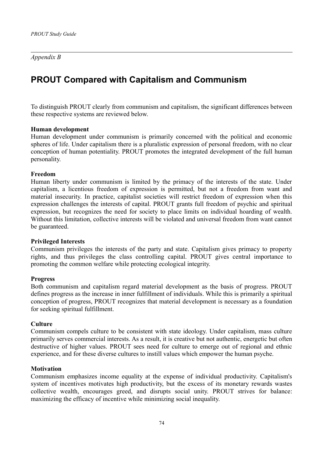*Appendix B*

# **PROUT Compared with Capitalism and Communism**

To distinguish PROUT clearly from communism and capitalism, the significant differences between these respective systems are reviewed below.

## **Human development**

Human development under communism is primarily concerned with the political and economic spheres of life. Under capitalism there is a pluralistic expression of personal freedom, with no clear conception of human potentiality. PROUT promotes the integrated development of the full human personality.

### **Freedom**

Human liberty under communism is limited by the primacy of the interests of the state. Under capitalism, a licentious freedom of expression is permitted, but not a freedom from want and material insecurity. In practice, capitalist societies will restrict freedom of expression when this expression challenges the interests of capital. PROUT grants full freedom of psychic and spiritual expression, but recognizes the need for society to place limits on individual hoarding of wealth. Without this limitation, collective interests will be violated and universal freedom from want cannot be guaranteed.

## **Privileged Interests**

Communism privileges the interests of the party and state. Capitalism gives primacy to property rights, and thus privileges the class controlling capital. PROUT gives central importance to promoting the common welfare while protecting ecological integrity.

## **Progress**

Both communism and capitalism regard material development as the basis of progress. PROUT defines progress as the increase in inner fulfillment of individuals. While this is primarily a spiritual conception of progress, PROUT recognizes that material development is necessary as a foundation for seeking spiritual fulfillment.

## **Culture**

Communism compels culture to be consistent with state ideology. Under capitalism, mass culture primarily serves commercial interests. As a result, it is creative but not authentic, energetic but often destructive of higher values. PROUT sees need for culture to emerge out of regional and ethnic experience, and for these diverse cultures to instill values which empower the human psyche.

## **Motivation**

Communism emphasizes income equality at the expense of individual productivity. Capitalism's system of incentives motivates high productivity, but the excess of its monetary rewards wastes collective wealth, encourages greed, and disrupts social unity. PROUT strives for balance: maximizing the efficacy of incentive while minimizing social inequality.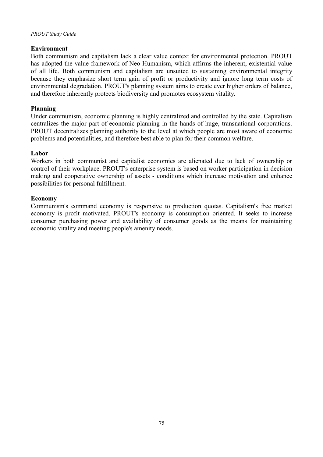#### *PROUT Study Guide*

## **Environment**

Both communism and capitalism lack a clear value context for environmental protection. PROUT has adopted the value framework of Neo-Humanism, which affirms the inherent, existential value of all life. Both communism and capitalism are unsuited to sustaining environmental integrity because they emphasize short term gain of profit or productivity and ignore long term costs of environmental degradation. PROUT's planning system aims to create ever higher orders of balance, and therefore inherently protects biodiversity and promotes ecosystem vitality.

## **Planning**

Under communism, economic planning is highly centralized and controlled by the state. Capitalism centralizes the major part of economic planning in the hands of huge, transnational corporations. PROUT decentralizes planning authority to the level at which people are most aware of economic problems and potentialities, and therefore best able to plan for their common welfare.

## **Labor**

Workers in both communist and capitalist economies are alienated due to lack of ownership or control of their workplace. PROUT's enterprise system is based on worker participation in decision making and cooperative ownership of assets - conditions which increase motivation and enhance possibilities for personal fulfillment.

## **Economy**

Communism's command economy is responsive to production quotas. Capitalism's free market economy is profit motivated. PROUT's economy is consumption oriented. It seeks to increase consumer purchasing power and availability of consumer goods as the means for maintaining economic vitality and meeting people's amenity needs.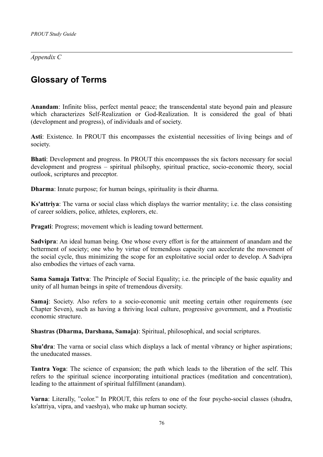*Appendix C*

# **Glossary of Terms**

**Anandam**: Infinite bliss, perfect mental peace; the transcendental state beyond pain and pleasure which characterizes Self-Realization or God-Realization. It is considered the goal of bhati (development and progress), of individuals and of society.

**Asti**: Existence. In PROUT this encompasses the existential necessities of living beings and of society.

**Bhati**: Development and progress. In PROUT this encompasses the six factors necessary for social development and progress – spiritual philsophy, spiritual practice, socio-economic theory, social outlook, scriptures and preceptor.

**Dharma**: Innate purpose; for human beings, spirituality is their dharma.

**Ks'attriya**: The varna or social class which displays the warrior mentality; i.e. the class consisting of career soldiers, police, athletes, explorers, etc.

**Pragati:** Progress; movement which is leading toward betterment.

**Sadvipra**: An ideal human being. One whose every effort is for the attainment of anandam and the betterment of society; one who by virtue of tremendous capacity can accelerate the movement of the social cycle, thus minimizing the scope for an exploitative social order to develop. A Sadvipra also embodies the virtues of each varna.

**Sama Samaja Tattva**: The Principle of Social Equality; i.e. the principle of the basic equality and unity of all human beings in spite of tremendous diversity.

**Samaj**: Society. Also refers to a socio-economic unit meeting certain other requirements (see Chapter Seven), such as having a thriving local culture, progressive government, and a Proutistic economic structure.

**Shastras (Dharma, Darshana, Samaja)**: Spiritual, philosophical, and social scriptures.

**Shu'dra**: The varna or social class which displays a lack of mental vibrancy or higher aspirations; the uneducated masses.

**Tantra Yoga**: The science of expansion; the path which leads to the liberation of the self. This refers to the spiritual science incorporating intuitional practices (meditation and concentration), leading to the attainment of spiritual fulfillment (anandam).

**Varna**: Literally, "color." In PROUT, this refers to one of the four psycho-social classes (shudra, ks'attriya, vipra, and vaeshya), who make up human society.